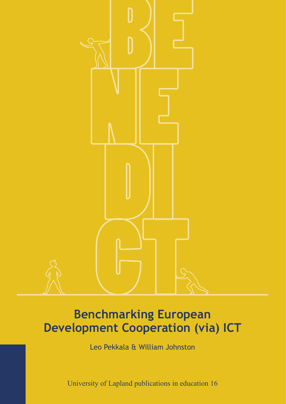

## **Benchmarking European Development Cooperation (via) ICT**

Leo Pekkala & William Johnston

University of Lapland publications in education 16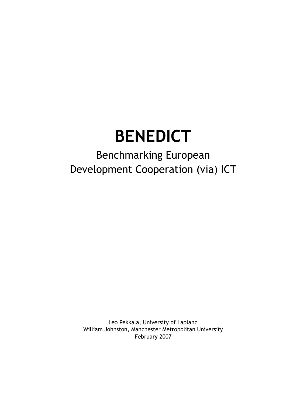# **BENEDICT**

## Benchmarking European Development Cooperation (via) ICT

Leo Pekkala, University of Lapland William Johnston, Manchester Metropolitan University February 2007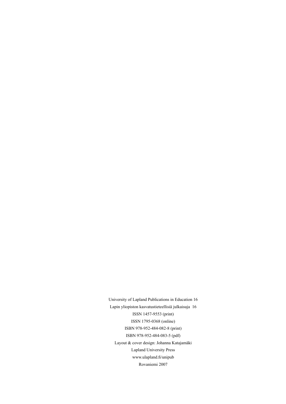University of Lapland Publications in Education 16 Lapin yliopiston kasvatustieteellisiä julkaisuja 16 ISSN 1457-9553 (print) ISSN 1795-0368 (online) ISBN 978-952-484-082-8 (print) ISBN 978-952-484-083-5 (pdf) Layout & cover design: Johanna Katajamäki Lapland University Press www.ulapland.fi/unipub Rovaniemi 2007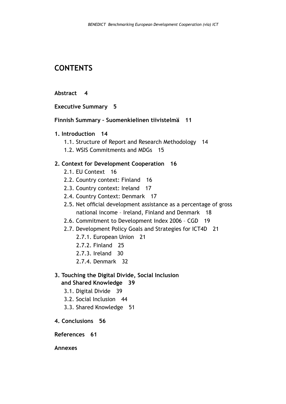## **CONTENTS**

#### **[Abstract 4](#page-4-0)**

**[Executive Summary 5](#page-5-0)**

- **[Finnish Summary Suomenkielinen tiivistelmä 11](#page-11-0)**
- **[1. Introduction 14](#page-14-0)**
	- [1.1. Structure of Report and Research Methodology 14](#page-14-0)
	- [1.2. WSIS Commitments and MDGs 15](#page-15-0)

## **2. [Context for Development Cooperation 16](#page-16-0)**

- [2.1. EU Context 16](#page-16-0)
- [2.2. Country context: Finland 16](#page-16-0)
- [2.3. Country context: Ireland 17](#page-17-0)
- [2.4. Country Context: Denmark 17](#page-17-0)
- [2.5. Net official development assistance as a percentage of gross](#page-18-0)  [national income – Ireland, Finland and Denmark 18](#page-18-0)
- [2.6. Commitment to Development Index 2006 CGD 19](#page-19-0)
- [2.7. Development Policy Goals and Strategies for ICT4D 21](#page-21-0)
	- [2.7.1. European Union 21](#page-21-0)
	- [2.7.2. Finland 25](#page-25-0)
	- [2.7.3. Ireland 30](#page-30-0)
	- [2.7.4. Denmark 32](#page-32-0)

## **[3. Touching the Digital Divide, Social Inclusion](#page-39-0)   [and Shared Knowledge 39](#page-39-0)**

- [3.1. Digital Divide 39](#page-39-0)
- [3.2. Social Inclusion 44](#page-44-0)
- [3.3. Shared Knowledge 51](#page-51-0)
- **[4. Conclusions 56](#page-56-0)**

#### **[References 61](#page-61-0)**

**Annexes**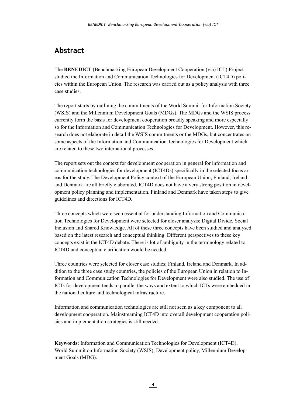## <span id="page-4-0"></span>**Abstract**

The **BENEDICT** (Benchmarking European Development Cooperation (via) ICT) Project studied the Information and Communication Technologies for Development (ICT4D) policies within the European Union. The research was carried out as a policy analysis with three case studies.

The report starts by outlining the commitments of the World Summit for Information Society (WSIS) and the Millennium Development Goals (MDGs). The MDGs and the WSIS process currently form the basis for development cooperation broadly speaking and more especially so for the Information and Communication Technologies for Development. However, this research does not elaborate in detail the WSIS commitments or the MDGs, but concentrates on some aspects of the Information and Communication Technologies for Development which are related to these two international processes.

The report sets out the context for development cooperation in general for information and communication technologies for development (ICT4Ds) specifically in the selected focus areas for the study. The Development Policy context of the European Union, Finland, Ireland and Denmark are all briefly elaborated. ICT4D does not have a very strong position in development policy planning and implementation. Finland and Denmark have taken steps to give guidelines and directions for ICT4D.

Three concepts which were seen essential for understanding Information and Communication Technologies for Development were selected for closer analysis; Digital Divide, Social Inclusion and Shared Knowledge. All of these three concepts have been studied and analysed based on the latest research and conceptual thinking. Different perspectives to these key concepts exist in the ICT4D debate. There is lot of ambiguity in the terminology related to ICT4D and conceptual clarification would be needed.

Three countries were selected for closer case studies; Finland, Ireland and Denmark. In addition to the three case study countries, the policies of the European Union in relation to Information and Communication Technologies for Development were also studied. The use of ICTs for development tends to parallel the ways and extent to which ICTs were embedded in the national culture and technological infrastructure.

Information and communication technologies are still not seen as a key component to all development cooperation. Mainstreaming ICT4D into overall development cooperation policies and implementation strategies is still needed.

**Keywords:** Information and Communication Technologies for Development (ICT4D), World Summit on Information Society (WSIS), Development policy, Millennium Development Goals (MDG).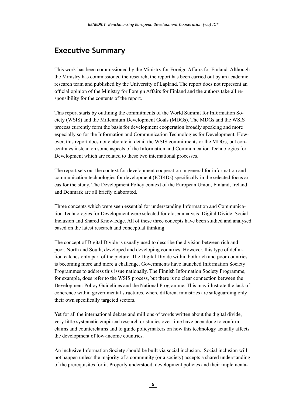## <span id="page-5-0"></span>**Executive Summary**

This work has been commissioned by the Ministry for Foreign Affairs for Finland. Although the Ministry has commissioned the research, the report has been carried out by an academic research team and published by the University of Lapland. The report does not represent an official opinion of the Ministry for Foreign Affairs for Finland and the authors take all responsibility for the contents of the report.

This report starts by outlining the commitments of the World Summit for Information Society (WSIS) and the Millennium Development Goals (MDGs). The MDGs and the WSIS process currently form the basis for development cooperation broadly speaking and more especially so for the Information and Communication Technologies for Development. However, this report does not elaborate in detail the WSIS commitments or the MDGs, but concentrates instead on some aspects of the Information and Communication Technologies for Development which are related to these two international processes.

The report sets out the context for development cooperation in general for information and communication technologies for development (ICT4Ds) specifically in the selected focus areas for the study. The Development Policy context of the European Union, Finland, Ireland and Denmark are all briefly elaborated.

Three concepts which were seen essential for understanding Information and Communication Technologies for Development were selected for closer analysis; Digital Divide, Social Inclusion and Shared Knowledge. All of these three concepts have been studied and analysed based on the latest research and conceptual thinking.

The concept of Digital Divide is usually used to describe the division between rich and poor, North and South, developed and developing countries. However, this type of definition catches only part of the picture. The Digital Divide within both rich and poor countries is becoming more and more a challenge. Governments have launched Information Society Programmes to address this issue nationally. The Finnish Information Society Programme, for example, does refer to the WSIS process, but there is no clear connection between the Development Policy Guidelines and the National Programme. This may illustrate the lack of coherence within governmental structures, where different ministries are safeguarding only their own specifically targeted sectors.

Yet for all the international debate and millions of words written about the digital divide, very little systematic empirical research or studies over time have been done to confirm claims and counterclaims and to guide policymakers on how this technology actually affects the development of low-income countries.

An inclusive Information Society should be built via social inclusion. Social inclusion will not happen unless the majority of a community (or a society) accepts a shared understanding of the prerequisites for it. Properly understood, development policies and their implementa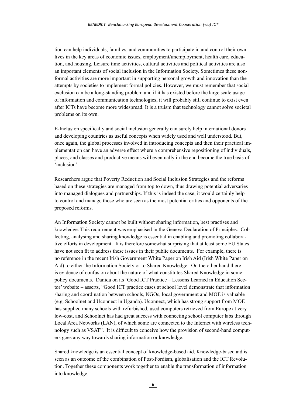tion can help individuals, families, and communities to participate in and control their own lives in the key areas of economic issues, employment/unemployment, health care, education, and housing. Leisure time activities, cultural activities and political activities are also an important elements of social inclusion in the Information Society. Sometimes these nonformal activities are more important in supporting personal growth and innovation than the attempts by societies to implement formal policies. However, we must remember that social exclusion can be a long-standing problem and if it has existed before the large scale usage of information and communication technologies, it will probably still continue to exist even after ICTs have become more widespread. It is a truism that technology cannot solve societal problems on its own.

E-Inclusion specifically and social inclusion generally can surely help international donors and developing countries as useful concepts when widely used and well understood. But, once again, the global processes involved in introducing concepts and then their practical implementation can have an adverse effect where a comprehensive repositioning of individuals, places, and classes and productive means will eventually in the end become the true basis of 'inclusion'.

Researchers argue that Poverty Reduction and Social Inclusion Strategies and the reforms based on these strategies are managed from top to down, thus drawing potential adversaries into managed dialogues and partnerships. If this is indeed the case, it would certainly help to control and manage those who are seen as the most potential critics and opponents of the proposed reforms.

An Information Society cannot be built without sharing information, best practises and knowledge. This requirement was emphasised in the Geneva Declaration of Principles. Collecting, analysing and sharing knowledge is essential in enabling and promoting collaborative efforts in development. It is therefore somewhat surprising that at least some EU States have not seen fit to address these issues in their public documents. For example, there is no reference in the recent Irish Government White Paper on Irish Aid (Irish White Paper on Aid) to either the Information Society or to Shared Knowledge. On the other hand there is evidence of confusion about the nature of what constitutes Shared Knowledge in some policy documents. Danida on its 'Good ICT Practice – Lessons Learned in Education Sector' website – asserts, "Good ICT practice cases at school level demonstrate that information sharing and coordination between schools, NGOs, local government and MOE is valuable (e.g. Schoolnet and Uconnect in Uganda). Uconnect, which has strong support from MOE has supplied many schools with refurbished, used computers retrieved from Europe at very low-cost, and Schoolnet has had great success with connecting school computer labs through Local Area Networks (LAN), of which some are connected to the Internet with wireless technology such as VSAT". It is difficult to conceive how the provision of second-hand computers goes any way towards sharing information or knowledge.

Shared knowledge is an essential concept of knowledge-based aid. Knowledge-based aid is seen as an outcome of the combination of Post-Fordism, globalisation and the ICT Revolution. Together these components work together to enable the transformation of information into knowledge.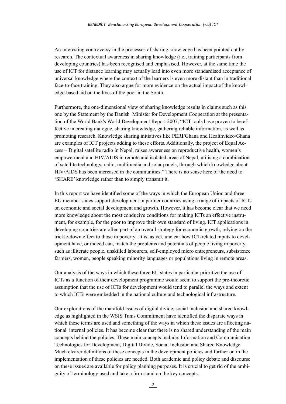An interesting controversy in the processes of sharing knowledge has been pointed out by research. The contextual awareness in sharing knowledge (i.e., training participants from developing countries) has been recognised and emphasised. However, at the same time the use of ICT for distance learning may actually lead into even more standardised acceptance of universal knowledge where the context of the learners is even more distant than in traditional face-to-face training. They also argue for more evidence on the actual impact of the knowledge-based aid on the lives of the poor in the South.

Furthermore, the one-dimensional view of sharing knowledge results in claims such as this one by the Statement by the Danish Minister for Development Cooperation at the presentation of the World Bank's World Development Report 2007, "ICT tools have proven to be effective in creating dialogue, sharing knowledge, gathering reliable information, as well as promoting research. Knowledge sharing initiatives like PERI/Ghana and Healthvideo/Ghana are examples of ICT projects adding to these efforts. Additionally, the project of Equal Access – Digital satellite radio in Nepal, raises awareness on reproductive health, women's empowerment and HIV/AIDS in remote and isolated areas of Nepal, utilising a combination of satellite technology, radio, multimedia and solar panels, through which knowledge about HIV/AIDS has been increased in the communities." There is no sense here of the need to 'SHARE' knowledge rather than to simply transmit it.

In this report we have identified some of the ways in which the European Union and three EU member states support development in partner countries using a range of impacts of ICTs on economic and social development and growth. However, it has become clear that we need more knowledge about the most conducive conditions for making ICTs an effective instrument, for example, for the poor to improve their own standard of living. ICT applications in developing countries are often part of an overall strategy for economic growth, relying on the trickle-down effect to those in poverty. It is, as yet, unclear how ICT-related inputs to development have, or indeed can, match the problems and potentials of people living in poverty, such as illiterate people, unskilled labourers, self-employed micro entrepreneurs, subsistence farmers, women, people speaking minority languages or populations living in remote areas.

Our analysis of the ways in which these three EU states in particular prioritize the use of ICTs as a function of their development programme would seem to support the pre-theoretic assumption that the use of ICTs for development would tend to parallel the ways and extent to which ICTs were embedded in the national culture and technological infrastructure.

Our explorations of the manifold issues of digital divide, social inclusion and shared knowledge as highlighted in the WSIS Tunis Commitment have identified the disparate ways in which these terms are used and something of the ways in which these issues are affecting national internal policies. It has become clear that there is no shared understanding of the main concepts behind the policies. These main concepts include: Information and Communication Technologies for Development, Digital Divide, Social Inclusion and Shared Knowledge. Much clearer definitions of these concepts in the development policies and further on in the implementation of these policies are needed. Both academic and policy debate and discourse on these issues are available for policy planning purposes. It is crucial to get rid of the ambiguity of terminology used and take a firm stand on the key concepts.

**7**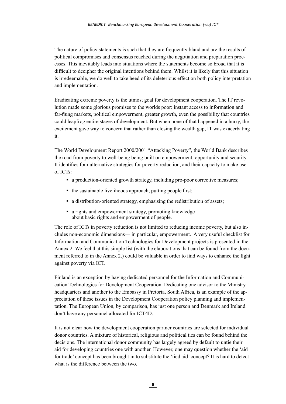The nature of policy statements is such that they are frequently bland and are the results of political compromises and consensus reached during the negotiation and preparation processes. This inevitably leads into situations where the statements become so broad that it is difficult to decipher the original intentions behind them. Whilst it is likely that this situation is irredeemable, we do well to take heed of its deleterious effect on both policy interpretation and implementation.

Eradicating extreme poverty is the utmost goal for development cooperation. The IT revolution made some glorious promises to the worlds poor: instant access to information and far-flung markets, political empowerment, greater growth, even the possibility that countries could leapfrog entire stages of development. But when none of that happened in a hurry, the excitement gave way to concern that rather than closing the wealth gap, IT was exacerbating it.

The World Development Report 2000/2001 "Attacking Poverty", the World Bank describes the road from poverty to well-being being built on empowerment, opportunity and security. It identifies four alternative strategies for poverty reduction, and their capacity to make use of ICTs:

- a production-oriented growth strategy, including pro-poor corrective measures;
- $\blacksquare$  the sustainable livelihoods approach, putting people first;
- a distribution-oriented strategy, emphasising the redistribution of assets;
- a rights and empowerment strategy, promoting knowledge about basic rights and empowerment of people.

The role of ICTs in poverty reduction is not limited to reducing income poverty, but also includes non-economic dimensions— in particular, empowerment. A very useful checklist for Information and Communication Technologies for Development projects is presented in the Annex 2. We feel that this simple list (with the elaborations that can be found from the document referred to in the Annex 2.) could be valuable in order to find ways to enhance the fight against poverty via ICT.

Finland is an exception by having dedicated personnel for the Information and Communication Technologies for Development Cooperation. Dedicating one advisor to the Ministry headquarters and another to the Embassy in Pretoria, South Africa, is an example of the appreciation of these issues in the Development Cooperation policy planning and implementation. The European Union, by comparison, has just one person and Denmark and Ireland don't have any personnel allocated for ICT4D.

It is not clear how the development cooperation partner countries are selected for individual donor countries. A mixture of historical, religious and political ties can be found behind the decisions. The international donor community has largely agreed by default to untie their aid for developing countries one with another. However, one may question whether the 'aid for trade' concept has been brought in to substitute the 'tied aid' concept? It is hard to detect what is the difference between the two.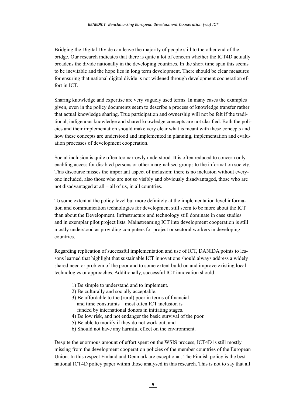Bridging the Digital Divide can leave the majority of people still to the other end of the bridge. Our research indicates that there is quite a lot of concern whether the ICT4D actually broadens the divide nationally in the developing countries. In the short time span this seems to be inevitable and the hope lies in long term development. There should be clear measures for ensuring that national digital divide is not widened through development cooperation effort in ICT.

Sharing knowledge and expertise are very vaguely used terms. In many cases the examples given, even in the policy documents seem to describe a process of knowledge transfer rather that actual knowledge sharing. True participation and ownership will not be felt if the traditional, indigenous knowledge and shared knowledge concepts are not clarified. Both the policies and their implementation should make very clear what is meant with these concepts and how these concepts are understood and implemented in planning, implementation and evaluation processes of development cooperation.

Social inclusion is quite often too narrowly understood. It is often reduced to concern only enabling access for disabled persons or other marginalised groups to the information society. This discourse misses the important aspect of inclusion: there is no inclusion without everyone included, also those who are not so visibly and obviously disadvantaged, those who are not disadvantaged at all – all of us, in all countries.

To some extent at the policy level but more definitely at the implementation level information and communication technologies for development still seem to be more about the ICT than about the Development. Infrastructure and technology still dominate in case studies and in exemplar pilot project lists. Mainstreaming ICT into development cooperation is still mostly understood as providing computers for project or sectoral workers in developing countries.

Regarding replication of successful implementation and use of ICT, DANIDA points to lessons learned that highlight that sustainable ICT innovations should always address a widely shared need or problem of the poor and to some extent build on and improve existing local technologies or approaches. Additionally, successful ICT innovation should:

- 1) Be simple to understand and to implement.
- 2) Be culturally and socially acceptable.
- 3) Be affordable to the (rural) poor in terms of financial and time constraints – most often ICT inclusion is funded by international donors in initiating stages.
- 4) Be low risk, and not endanger the basic survival of the poor.
- 5) Be able to modify if they do not work out, and
- 6) Should not have any harmful effect on the environment.

Despite the enormous amount of effort spent on the WSIS process, ICT4D is still mostly missing from the development cooperation policies of the member countries of the European Union. In this respect Finland and Denmark are exceptional. The Finnish policy is the best national ICT4D policy paper within those analysed in this research. This is not to say that all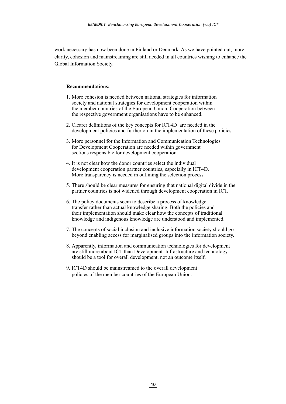work necessary has now been done in Finland or Denmark. As we have pointed out, more clarity, cohesion and mainstreaming are still needed in all countries wishing to enhance the Global Information Society.

#### **Recommendations:**

- 1. More cohesion is needed between national strategies for information society and national strategies for development cooperation within the member countries of the European Union. Cooperation between the respective government organisations have to be enhanced.
- 2. Clearer definitions of the key concepts for ICT4D are needed in the development policies and further on in the implementation of these policies.
- 3. More personnel for the Information and Communication Technologies for Development Cooperation are needed within government sections responsible for development cooperation.
- 4. It is not clear how the donor countries select the individual development cooperation partner countries, especially in ICT4D. More transparency is needed in outlining the selection process.
- 5. There should be clear measures for ensuring that national digital divide in the partner countries is not widened through development cooperation in ICT.
- 6. The policy documents seem to describe a process of knowledge transfer rather than actual knowledge sharing. Both the policies and their implementation should make clear how the concepts of traditional knowledge and indigenous knowledge are understood and implemented.
- 7. The concepts of social inclusion and inclusive information society should go beyond enabling access for marginalised groups into the information society.
- 8. Apparently, information and communication technologies for development are still more about ICT than Development. Infrastructure and technology should be a tool for overall development, not an outcome itself.
- 9. ICT4D should be mainstreamed to the overall development policies of the member countries of the European Union.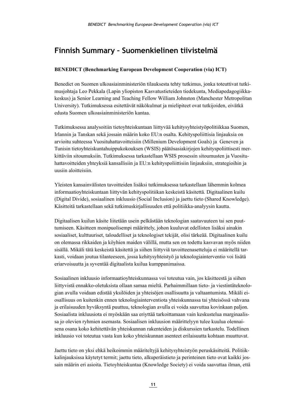## <span id="page-11-0"></span>**Finnish Summary – Suomenkielinen tiivistelmä**

#### **BENEDICT (Benchmarking European Development Cooperation (via) ICT)**

Benedict on Suomen ulkoasiainministeriön tilauksesta tehty tutkimus, jonka toteuttivat tutkimusjohtaja Leo Pekkala (Lapin yliopiston Kasvatustieteiden tiedekunta, Mediapedagogiikkakeskus) ja Senior Learning and Teaching Fellow William Johnston (Manchester Metropolitan University). Tutkimuksessa esitettävät näkökulmat ja mielipiteet ovat tutkijoiden, eivätkä edusta Suomen ulkoasiainministeriön kantaa.

Tutkimuksessa analysoitiin tietoyhteiskuntaan liittyvää kehitysyhteistyöpolitiikkaa Suomen, Irlannin ja Tanskan sekä jossain määrin koko EU:n osalta. Kehityspoliittisia linjauksia on arvioitu suhteessa Vuosituhattavoitteisiin (Millenium Development Goals) ja Geneven ja Tunisin tietoyhteiskuntahuippukokouksen (WSIS) päätösasiakirjojen kehityspoliittisesti merkittäviin sitoumuksiin. Tutkimuksessa tarkastellaan WSIS prosessin sitoumusten ja Vuosituhattavoitteiden yhteyksiä kansallisiin ja EU:n kehityspoliittisiin linjauksiin, strategioihin ja uusiin aloitteisiin.

Yleisten kansainvälisten tavoitteiden lisäksi tutkimuksessa tarkastellaan lähemmin kolmea informaatioyhteiskuntaan liittyvän kehityspolitiikan keskeistä käsitettä. Digitaalinen kuilu (Digital Divide), sosiaalinen inkluusio (Social Inclusion) ja jaettu tieto (Shared Knowledge). Käsitteitä tarkastellaan sekä tutkimuskirjallisuuden että politiikka-analyysin kautta.

Digitaalisen kuilun käsite liitetään usein pelkästään teknologian saatavuuteen tai sen puuttumiseen. Käsitteen monipuolisempi määrittely, johon kuuluvat edellisten lisäksi ainakin sosiaaliset, kulttuuriset, taloudelliset ja teknologiset tekijät, olisi tärkeää. Digitaalinen kuilu on olemassa rikkaiden ja köyhien maiden välillä, mutta sen on todettu kasvavan myös niiden sisällä. Mikäli tätä keskeistä käsitettä ja siihen liittyviä tavoitteenasetteluja ei määritellä tarkasti, voidaan joutua tilanteeseen, jossa kehitysyhteistyö ja teknologiainterventio voi lisätä eriarvoisuutta ja syventää digitaalista kuilua kumppanimaissa.

Sosiaalinen inkluusio informaatioyhteiskunnassa voi toteutua vain, jos käsitteestä ja siihen liittyvistä ennakko-oletuksista ollaan samaa mieltä. Parhaimmillaan tieto- ja viestintäteknologian avulla voidaan edistää yksilöiden ja yhteisöjen osallisuutta ja valtaantumista. Mikäli eiosallisuus on kuitenkin ennen teknologiainterventiota yhteiskunnassa tai yhteisössä vahvana ja erilaisuuden hyväksyntä puuttuu, teknologian avulla ei voida saavuttaa kovinkaan paljon. Sosiaalista inkluusiota ei myöskään saa eriyttää tarkoittamaan vain keskustelua marginaalissa jo olevien ryhmien asemasta. Sosiaalisen inkluusion määrittelyyn tulee kuulua olennaisena osana koko kehitettävän yhteiskunnan rakenteiden ja diskurssien tarkastelu. Todellinen inkluusio voi toteutua vasta kun koko yhteiskunnan asenteet erilaisuutta kohtaan muuttuvat.

Jaettu tieto on yksi ehkä heikoimmin määriteltyjä kehitysyhteistyön peruskäsitteitä. Politiikkalinjauksissa käytetyt termit; jaettu tieto, alkuperäistieto ja perinteinen tieto ovat kaikki jossain määrin eri asioita. Tietoyhteiskuntaa (Knowledge Society) ei voida saavuttaa ilman, että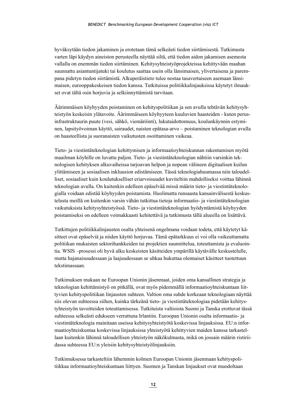hyväksytään tiedon jakaminen ja erotetaan tämä selkeästi tiedon siirtämisestä. Tutkimusta varten läpi käydyn aineiston perusteella näyttää siltä, että tiedon aidon jakamisen asemesta vallalla on enemmän tiedon siirtäminen. Kehitysyhteistyöprojekteissa kehittyvään maahan suunnattu asiantuntijatuki tai koulutus saattaa usein olla länsimaisen, ylivertaisena ja parempana pidetyn tiedon siirtämistä. Alkuperäistieto tulee nostaa tasavertaiseen asemaan länsimaisen, eurooppakeskeisen tiedon kanssa. Tutkituissa politiikkalinjauksissa käytetyt ilmaukset ovat tältä osin horjuvia ja selkiinnyttämistä tarvitaan.

Äärimmäisen köyhyyden poistaminen on kehityspolitiikan ja sen avulla tehtävän kehitysyhteistyön keskeisin ylätavoite. Äärimmäiseen köyhyyteen kuuluvien haasteiden - kuten perusinfrastruktuurin puute (vesi, sähkö, viemäröinti), lukutaidottomuus, koulunkäynnin estyminen, lapsityövoiman käyttö, sairaudet, naisten epätasa-arvo – poistaminen teknologian avulla on haasteellista ja suoranaisten vaikutusten osoittaminen vaikeaa.

Tieto- ja viestintäteknologian kehittymisen ja informaatioyhteiskunnan rakentamisen myötä maailman köyhille on luvattu paljon. Tieto- ja viestintäteknologian nähtiin varsinkin teknologisen kehityksen alkuvaiheissa tarjoavan helpon ja nopean välineen digitaalisen kuilun ylittämiseen ja sosiaalisen inkluusion edistämiseen. Tässä teknologiahuumassa niin taloudelliset, sosiaaliset kuin koulutukselliset eriarvoisuudet kuviteltiin mahdolliseksi voittaa lähinnä teknologian avulla. On kuitenkin edelleen epäselvää missä määrin tieto- ja viestintäteknologialla voidaan edistää köyhyyden poistamista. Huolimatta runsaasta kansainvälisestä keskustelusta meillä on kuitenkin varsin vähän tutkittua tietoja informaatio- ja viestintäteknologian vaikutuksista kehitysyhteistyössä. Tieto- ja viestintäteknologian hyödyntämistä köyhyyden poistamiseksi on edelleen voimakkaasti kehitettävä ja tutkimusta tällä alueella on lisättävä.

Tutkittujen politiikkalinjausten osalta yhteisenä ongelmana voidaan todeta, että käytetyt käsitteet ovat epäselviä ja niiden käyttö horjuvaa. Tämä epätarkkuus ei voi olla vaikeuttamatta politiikan mukaisten sektorihankkeiden tai projektien suunnittelua, toteuttamista ja evaluointia. WSIS –prosessi oli hyvä alku keskeisten käsitteiden ympärillä käytävälle keskustelulle, mutta hajanaisuudessaan ja laajuudessaan se uhkaa hukuttaa olennaiset käsitteet tuotettuun tekstimassaan.

Tutkimuksen mukaan ne Euroopan Unionin jäsenmaat, joiden oma kansallinen strategia ja teknologian kehittämistyö on pitkällä, ovat myös pidemmällä informaatioyhteiskuntaan liittyvien kehityspolitiikan linjausten suhteen. Valtion oma suhde korkeaan teknologiaan näyttää siis olevan suhteessa siihen, kuinka tärkeänä tieto- ja viestintäteknologiaa pidetään kehitystyhteistyön tavoitteiden toteuttamisessa. Tutkituista valtioista Suomi ja Tanska erottuvat tässä suhteessa selkeästi edukseen verrattuna Irlantiin. Euroopan Unionin osalta informaatio- ja viestintäteknologia mainitaan useissa kehitysyhteistyötä koskevissa linjauksissa. EU:n informaatioyhteiskuntaa koskevissa linjauksissa yhteistyötä kehittyvien maiden kanssa tarkastellaan kuitenkin lähinnä taloudellisen yhteistyön näkökulmasta, mikä on jossain määrin ristiriidassa suhteessa EU:n yleisiin kehitysyhteistyölinjauksiin.

Tutkimuksessa tarkasteltiin lähemmin kolmen Euroopan Unionin jäsenmaan kehityspolitiikkaa informaatioyhteiskuntaan liittyen. Suomen ja Tanskan linjaukset ovat muodoltaan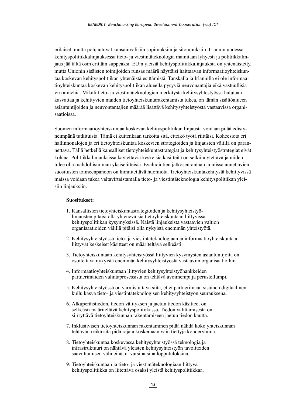erilaiset, mutta pohjautuvat kansainvälisiin sopimuksiin ja sitoumuksiin. Irlannin uudessa kehityspolitiikkalinjauksessa tieto- ja viestintäteknologia mainitaan lyhyesti ja politiikkalinjaus jää tältä osin erittäin suppeaksi. EU:n yleisiä kehityspolitiikkalinjauksia on yhtenäistetty, mutta Unionin sisäisten toimijoiden runsas määrä näyttäisi haittaavan informaatioyhteiskuntaa koskevan kehityspolitiikan yhtenäistä esittämistä. Tanskalla ja Irlannilla ei ole informaatioyhteiskuntaa koskevan kehityspolitiikan alueella pysyviä neuvonantajia eikä vastuullisia virkamiehiä. Mikäli tieto- ja viestintäteknologian merkitystä kehitysyhtestyössä halutaan kasvattaa ja kehittyvien maiden tietoyhteiskuntarakentamista tukea, on tämän sisältöalueen asiantuntijoiden ja neuvontantajien määrää lisättävä kehitysyhteistyöstä vastaavissa organisaatioissa.

Suomen informaatioyhteiskuntaa koskevan kehityspolitiikan linjausta voidaan pitää edistyneimpänä tutkituista. Tämä ei kuitenkaan tarkoita sitä, etteikö työtä riittäisi. Koheesiota eri hallinnonalojen ja eri tietoyhteiskuntaa koskevien strategioiden ja linjausten välillä on parannettava. Tällä hetkellä kansalliset tietoyhteiskuntastrategiat ja kehitysyhteistyöstrategiat eivät kohtaa. Politiikkalinjauksissa käytettäviä keskeisiä käsitteitä on selkiinnytettävä ja niiden tulee olla mahdollisimman yksiselitteisiä. Evaluointien jatkoseurantaan ja niissä annettavien suositusten toimeenpanoon on kiinnitettävä huomiota. Tietoyhteiskuntakehitystä kehittyvissä maissa voidaan tukea valtavirtaistamalla tieto- ja viestintäteknologia kehityspolitiikan yleisiin linjauksiin.

#### **Suositukset:**

- 1. Kansallisten tietoyhteiskuntastrategioiden ja kehitysyhteistyölinjausten pitäisi olla yhteneväisiä tietoyhteiskuntaan liittyvissä kehityspolitiikan kysymyksissä. Näistä linjauksista vastaavien valtion organisaatioiden välillä pitäisi olla nykyistä enemmän yhteistyötä.
- 2. Kehitysyhteistyössä tieto- ja viestintäteknologiaan ja informaatioyhteiskuntaan liittyvät keskeiset käsitteet on määriteltävä selkeästi.
- 3. Tietoyhteiskuntaan kehitysyhteistyössä liittyvien kysymysten asiantuntijoita on osoitettava nykyistä enemmän kehitysyhteistyöstä vastaaviin organisaatioihin.
- 4. Informaatioyhteiskuntaan liittyvien kehitysyhteistyöhankkeiden partnerimaiden valintaprosessista on tehtävä avoimempi ja perustellumpi.
- 5. Kehitysyhteistyössä on varmistuttava siitä, ettei partnerimaan sisäinen digitaalinen kuilu kasva tieto- ja viestintäteknologisen kehitysyhteistyön seurauksena.
- 6. Alkuperäistiedon, tiedon välityksen ja jaetun tiedon käsitteet on selkeästi määriteltävä kehityspolitiikassa. Tiedon välittämisestä on siirryttävä tietoyhteiskunnan rakentamiseen jaetun tiedon kautta.
- 7. Inklusiivisen tietoyhteiskunnan rakentaminen pitää nähdä koko yhteiskunnan tehtävänä eikä sitä pidä rajata koskemaan vain tiettyjä kohderyhmiä.
- 8. Tietoyhteiskuntaa koskevassa kehitysyhteistyössä teknologia ja infrastruktuuri on nähtävä yleisten kehitysyhteistyön tavoitteiden saavuttamisen välineinä, ei varsinaisina lopputuloksina.
- 9. Tietoyhteiskuntaan ja tieto- ja viestintäteknologiaan liittyvä kehityspolitiikka on liitettävä osaksi yleistä kehityspolitiikkaa.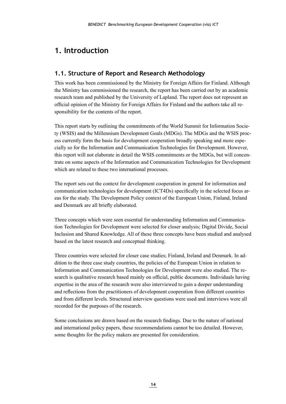## <span id="page-14-0"></span>**1. Introduction**

## **1.1. Structure of Report and Research Methodology**

This work has been commissioned by the Ministry for Foreign Affairs for Finland. Although the Ministry has commissioned the research, the report has been carried out by an academic research team and published by the University of Lapland. The report does not represent an official opinion of the Ministry for Foreign Affairs for Finland and the authors take all responsibility for the contents of the report.

This report starts by outlining the commitments of the World Summit for Information Society (WSIS) and the Millennium Development Goals (MDGs). The MDGs and the WSIS process currently form the basis for development cooperation broadly speaking and more especially so for the Information and Communication Technologies for Development. However, this report will not elaborate in detail the WSIS commitments or the MDGs, but will concentrate on some aspects of the Information and Communication Technologies for Development which are related to these two international processes.

The report sets out the context for development cooperation in general for information and communication technologies for development (ICT4Ds) specifically in the selected focus areas for the study. The Development Policy context of the European Union, Finland, Ireland and Denmark are all briefly elaborated.

Three concepts which were seen essential for understanding Information and Communication Technologies for Development were selected for closer analysis; Digital Divide, Social Inclusion and Shared Knowledge. All of these three concepts have been studied and analysed based on the latest research and conceptual thinking.

Three countries were selected for closer case studies; Finland, Ireland and Denmark. In addition to the three case study countries, the policies of the European Union in relation to Information and Communication Technologies for Development were also studied. The research is qualitative research based mainly on official, public documents. Individuals having expertise in the area of the research were also interviewed to gain a deeper understanding and reflections from the practitioners of development cooperation from different countries and from different levels. Structured interview questions were used and interviews were all recorded for the purposes of the research.

Some conclusions are drawn based on the research findings. Due to the nature of national and international policy papers, these recommendations cannot be too detailed. However, some thoughts for the policy makers are presented for consideration.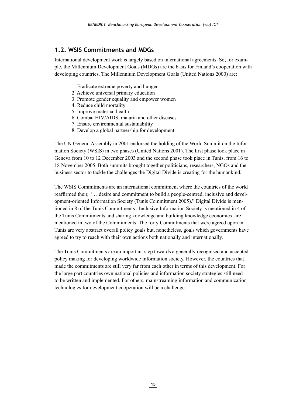## <span id="page-15-0"></span>**1.2. WSIS Commitments and MDGs**

International development work is largely based on international agreements. So, for example, the Millennium Development Goals (MDGs) are the basis for Finland's cooperation with developing countries. The Millennium Development Goals (United Nations 2000) are:

- 1. Eradicate extreme poverty and hunger
- 2. Achieve universal primary education
- 3. Promote gender equality and empower women
- 4. Reduce child mortality
- 5. Improve maternal health
- 6. Combat HIV/AIDS, malaria and other diseases
- 7. Ensure environmental sustainability
- 8. Develop a global partnership for development

The UN General Assembly in 2001 endorsed the holding of the World Summit on the Information Society (WSIS) in two phases (United Nations 2001). The first phase took place in Geneva from 10 to 12 December 2003 and the second phase took place in Tunis, from 16 to 18 November 2005. Both summits brought together politicians, researchers, NGOs and the business sector to tackle the challenges the Digital Divide is creating for the humankind.

The WSIS Commitments are an international commitment where the countries of the world reaffirmed their, "…desire and commitment to build a people-centred, inclusive and development-oriented Information Society (Tunis Commitment 2005)." Digital Divide is mentioned in 8 of the Tunis Commitments , Inclusive Information Society is mentioned in 4 of the Tunis Commitments and sharing knowledge and building knowledge economies are mentioned in two of the Commitments. The forty Commitments that were agreed upon in Tunis are very abstract overall policy goals but, nonetheless, goals which governments have agreed to try to reach with their own actions both nationally and internationally.

The Tunis Commitments are an important step towards a generally recognised and accepted policy making for developing worldwide information society. However, the countries that made the commitments are still very far from each other in terms of this development. For the large part countries own national policies and information society strategies still need to be written and implemented. For others, mainstreaming information and communication technologies for development cooperation will be a challenge.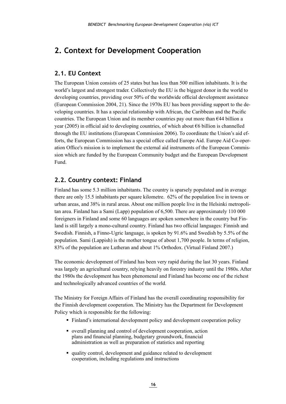## <span id="page-16-0"></span>**2. Context for Development Cooperation**

#### **2.1. EU Context**

The European Union consists of 25 states but has less than 500 million inhabitants. It is the world's largest and strongest trader. Collectively the EU is the biggest donor in the world to developing countries, providing over 50% of the worldwide official development assistance (European Commission 2004, 21). Since the 1970s EU has been providing support to the developing countries. It has a special relationship with African, the Caribbean and the Pacific countries. The European Union and its member countries pay out more than  $644$  billion a year (2005) in official aid to developing countries, of which about €6 billion is channelled through the EU institutions (European Commission 2006). To coordinate the Union's aid efforts, the European Commission has a special office called Europe Aid. Europe Aid Co-operation Office's mission is to implement the external aid instruments of the European Commission which are funded by the European Community budget and the European Development Fund.

## **2.2. Country context: Finland**

Finland has some 5.3 million inhabitants. The country is sparsely populated and in average there are only 15.5 inhabitants per square kilometre. 62% of the population live in towns or urban areas, and 38% in rural areas. About one million people live in the Helsinki metropolitan area. Finland has a Sami (Lapp) population of 6,500. There are approximately 110 000 foreigners in Finland and some 60 languages are spoken somewhere in the country but Finland is still largely a mono-cultural country. Finland has two official languages: Finnish and Swedish. Finnish, a Finno-Ugric language, is spoken by 91.6% and Swedish by 5.5% of the population. Sami (Lappish) is the mother tongue of about 1,700 people. In terms of religion, 83% of the population are Lutheran and about 1% Orthodox. (Virtual Finland 2007.)

The economic development of Finland has been very rapid during the last 30 years. Finland was largely an agricultural country, relying heavily on forestry industry until the 1980s. After the 1980s the development has been phenomenal and Finland has become one of the richest and technologically advanced countries of the world.

The Ministry for Foreign Affairs of Finland has the overall coordinating responsibility for the Finnish development cooperation. The Ministry has the Department for Development Policy which is responsible for the following:

- Finland's international development policy and development cooperation policy
- overall planning and control of development cooperation, action plans and financial planning, budgetary groundwork, financial administration as well as preparation of statistics and reporting
- quality control, development and guidance related to development cooperation, including regulations and instructions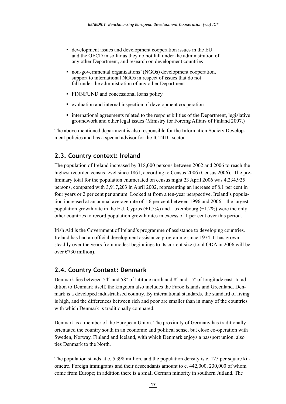- <span id="page-17-0"></span> development issues and development cooperation issues in the EU and the OECD in so far as they do not fall under the administration of any other Department, and research on development countries
- non-governmental organizations' (NGOs) development cooperation, support to international NGOs in respect of issues that do not fall under the administration of any other Department
- FINNFUND and concessional loans policy
- evaluation and internal inspection of development cooperation
- international agreements related to the responsibilities of the Department, legislative groundwork and other legal issues (Ministry for Foreing Affairs of Finland 2007.)

The above mentioned department is also responsible for the Information Society Development policies and has a special advisor for the ICT4D –sector.

#### **2.3. Country context: Ireland**

The population of Ireland increased by 318,000 persons between 2002 and 2006 to reach the highest recorded census level since 1861, according to Census 2006 (Census 2006). The preliminary total for the population enumerated on census night 23 April 2006 was 4,234,925 persons, compared with 3,917,203 in April 2002, representing an increase of 8.1 per cent in four years or 2 per cent per annum. Looked at from a ten-year perspective, Ireland's population increased at an annual average rate of 1.6 per cent between 1996 and 2006 – the largest population growth rate in the EU. Cyprus (+1.5%) and Luxembourg (+1.2%) were the only other countries to record population growth rates in excess of 1 per cent over this period.

Irish Aid is the Government of Ireland's programme of assistance to developing countries. Ireland has had an official development assistance programme since 1974. It has grown steadily over the years from modest beginnings to its current size (total ODA in 2006 will be over €730 million).

#### **2.4. Country Context: Denmark**

Denmark lies between 54° and 58° of latitude north and 8° and 15° of longitude east. In addition to Denmark itself, the kingdom also includes the Faroe Islands and Greenland. Denmark is a developed industrialised country. By international standards, the standard of living is high, and the differences between rich and poor are smaller than in many of the countries with which Denmark is traditionally compared.

Denmark is a member of the European Union. The proximity of Germany has traditionally orientated the country south in an economic and political sense, but close co-operation with Sweden, Norway, Finland and Iceland, with which Denmark enjoys a passport union, also ties Denmark to the North.

The population stands at c. 5.398 million, and the population density is c. 125 per square kilometre. Foreign immigrants and their descendants amount to c. 442,000, 230,000 of whom come from Europe; in addition there is a small German minority in southern Jutland. The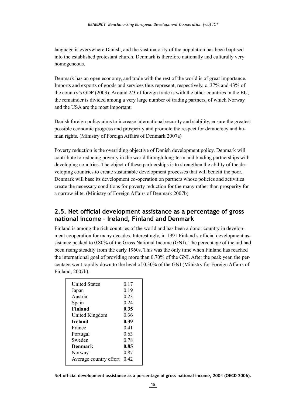<span id="page-18-0"></span>language is everywhere Danish, and the vast majority of the population has been baptised into the established protestant church. Denmark is therefore nationally and culturally very homogeneous.

Denmark has an open economy, and trade with the rest of the world is of great importance. Imports and exports of goods and services thus represent, respectively, c. 37% and 43% of the country's GDP (2003). Around 2/3 of foreign trade is with the other countries in the EU; the remainder is divided among a very large number of trading partners, of which Norway and the USA are the most important.

Danish foreign policy aims to increase international security and stability, ensure the greatest possible economic progress and prosperity and promote the respect for democracy and human rights. (Ministry of Foreign Affairs of Denmark 2007a)

Poverty reduction is the overriding objective of Danish development policy. Denmark will contribute to reducing poverty in the world through long-term and binding partnerships with developing countries. The object of these partnerships is to strengthen the ability of the developing countries to create sustainable development processes that will benefit the poor. Denmark will base its development co-operation on partners whose policies and activities create the necessary conditions for poverty reduction for the many rather than prosperity for a narrow élite. (Ministry of Foreign Affairs of Denmark 2007b)

## **2.5. Net official development assistance as a percentage of gross national income – Ireland, Finland and Denmark**

Finland is among the rich countries of the world and has been a donor country in development cooperation for many decades. Interestingly, in 1991 Finland's official development assistance peaked to 0.80% of the Gross National Income (GNI). The percentage of the aid had been rising steadily from the early 1960s. This was the only time when Finland has reached the international goal of providing more than 0.70% of the GNI. After the peak year, the percentage went rapidly down to the level of 0.30% of the GNI (Ministry for Foreign Affairs of Finland, 2007b).

| <b>United States</b>   | 0.17 |
|------------------------|------|
| Japan                  | 0.19 |
| Austria                | 0.23 |
| Spain                  | 0.24 |
| <b>Finland</b>         | 0.35 |
| United Kingdom         | 0.36 |
| <b>Ireland</b>         | 0.39 |
| France                 | 0.41 |
| Portugal               | 0.63 |
| Sweden                 | 0.78 |
| Denmark                | 0.85 |
| Norway                 | 0.87 |
| Average country effort | 0.42 |

**Net official development assistance as a percentage of gross national income, 2004 (OECD 2006).**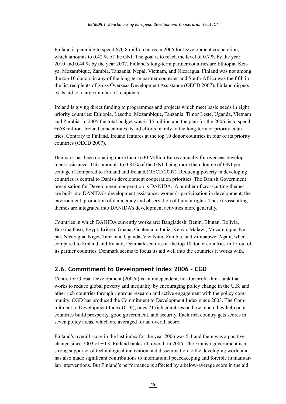<span id="page-19-0"></span>Finland is planning to spend 670.8 million euros in 2006 for Development cooperation, which amounts to 0.42 % of the GNI. The goal is to reach the level of 0.7 % by the year 2010 and 0.44 % by the year 2007. Finland's long-term partner countries are Ethiopia, Kenya, Mozambique, Zambia, Tanzania, Nepal, Vietnam, and Nicaragua. Finland was not among the top 10 donors in any of the long-term partner countries and South-Africa was the fifth in the list recipients of gross Overseas Development Assistance (OECD 2007). Finland disperses its aid to a large number of recipients.

Ireland is giving direct funding to programmes and projects which meet basic needs in eight priority countries: Ethiopia, Lesotho, Mozambique, Tanzania, Timor Leste, Uganda, Vietnam and Zambia. In 2005 the total budget was  $\epsilon$ 545 million and the plan for the 2006, is to spend  $6658$  million. Ireland concentrates its aid efforts mainly to the long-term or priority countries. Contrary to Finland, Ireland features at the top 10 donor countries in four of its priority countries (OECD 2007).

Denmark has been donating more than 1630 Million Euros annually for overseas development assistance. This amounts to 0,81% of the GNI, being more than double of GNI percentage if compared to Finland and Ireland (OECD 2007). Reducing poverty in developing countries is central to Danish development cooperation priorities. The Danish Government organisation for Development cooperation is DANIDA. A number of crosscutting themes are built into DANIDA's development assistance: women's participation in development, the environment, promotion of democracy and observation of human rights. These crosscutting themes are integrated into DANIDA's development activities more generally.

Countries in which DANIDA currently works are: Bangladesh, Benin, Bhutan, Bolivia, Burkina Faso, Egypt, Eritrea, Ghana, Guatemala, India, Kenya, Malawi, Mozambique, Nepal, Nicaragua, Niger, Tanzania, Uganda, Viet Nam, Zambia, and Zimbabwe. Again, when compared to Finland and Ireland, Denmark features at the top 10 donor countries in 15 out of its partner countries. Denmark seems to focus its aid well into the countries it works with.

## **2.6. Commitment to Development Index 2006 – CGD**

Centre for Global Development (2007a) is an independent, not-for-profit think tank that works to reduce global poverty and inequality by encouraging policy change in the U.S. and other rich countries through rigorous research and active engagement with the policy community. CGD has produced the Commitment to Development Index since 2003. The Commitment to Development Index (CDI), rates 21 rich countries on how much they help poor countries build prosperity, good government, and security. Each rich country gets scores in seven policy areas, which are averaged for an overall score.

Finland's overall score in the last index for the year 2006 was 5.4 and there was a positive change since 2003 of +0.3. Finland ranks 7th overall in 2006. The Finnish government is a strong supporter of technological innovation and dissemination to the developing world and has also made significant contributions to international peacekeeping and forcible humanitarian interventions. But Finland's performance is affected by a below-average score in the aid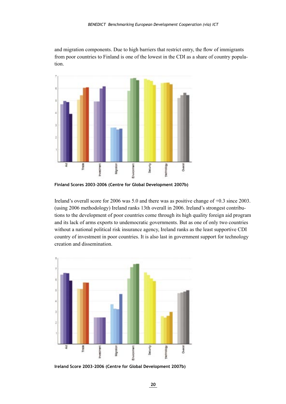and migration components. Due to high barriers that restrict entry, the flow of immigrants from poor countries to Finland is one of the lowest in the CDI as a share of country population.



**Finland Scores 2003-2006 (Centre for Global Development 2007b)**

Ireland's overall score for 2006 was 5.0 and there was as positive change of +0.3 since 2003. (using 2006 methodology) Ireland ranks 13th overall in 2006. Ireland's strongest contributions to the development of poor countries come through its high quality foreign aid program and its lack of arms exports to undemocratic governments. But as one of only two countries without a national political risk insurance agency, Ireland ranks as the least supportive CDI country of investment in poor countries. It is also last in government support for technology creation and dissemination.



**Ireland Score 2003-2006 (Centre for Global Development 2007b)**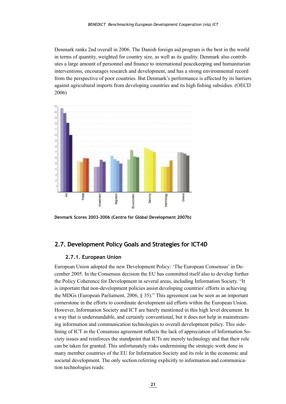<span id="page-21-0"></span>Denmark ranks 2nd overall in 2006. The Danish foreign aid program is the best in the world in terms of quantity, weighted for country size, as well as its quality. Denmark also contributes a large amount of personnel and finance to international peacekeeping and humanitarian interventions, encourages research and development, and has a strong environmental record from the perspective of poor countries. But Denmark's performance is affected by its barriers against agricultural imports from developing countries and its high fishing subsidies. (OECD 2006)



**Denmark Scores 2003-2006 (Centre for Global Development 2007b)**

#### **2.7. Development Policy Goals and Strategies for ICT4D**

#### **2.7.1. European Union**

European Union adopted the new Development Policy: 'The European Consensus' in December 2005. In the Consensus decision the EU has committed itself also to develop further the Policy Coherence for Development in several areas, including Information Society. "It is important that non-development policies assist developing countries' efforts in achieving the MDGs (European Parliament, 2006, § 35)." This agreement can be seen as an important cornerstone in the efforts to coordinate development aid efforts within the European Union. However, Information Society and ICT are barely mentioned in this high level document. In a way that is understandable, and certainly conventional, but it does not help in mainstreaming information and communication technologies to overall development policy. This sidelining of ICT in the Consensus agreement reflects the lack of appreciation of Information Society issues and reinforces the standpoint that ICTs are merely technology and that their role can be taken for granted. This unfortunately risks undermining the strategic work done in many member countries of the EU for Information Society and its role in the economic and societal development. The only section referring explicitly to information and communication technologies reads: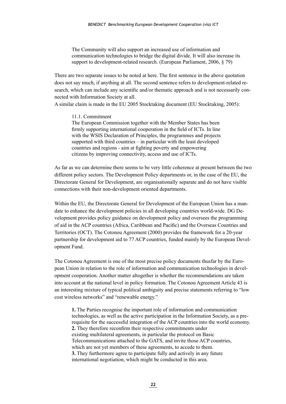The Community will also support an increased use of information and communication technologies to bridge the digital divide. It will also increase its support to development-related research. (European Parliament, 2006, § 79)

There are two separate issues to be noted at here. The first sentence in the above quotation does not say much, if anything at all. The second sentence refers to development-related research, which can include any scientific and/or thematic approach and is not necessarily connected with Information Society at all.

A similar claim is made in the EU 2005 Stocktaking document (EU Stocktaking, 2005):

11.1. Commitment The European Commission together with the Member States has been firmly supporting international cooperation in the field of ICTs. In line with the WSIS Declaration of Principles, the programmes and projects supported with third countries – in particular with the least developed countries and regions - aim at fighting poverty and empowering citizens by improving connectivity, access and use of ICTs.

As far as we can determine there seems to be very little coherence at present between the two different policy sectors. The Development Policy departments or, in the case of the EU, the Directorate General for Development, are organisationally separate and do not have visible connections with their non-development oriented departments.

Within the EU, the Directorate General for Development of the European Union has a mandate to enhance the development policies in all developing countries world-wide. DG Development provides policy guidance on development policy and oversees the programming of aid in the ACP countries (Africa, Caribbean and Pacific) and the Overseas Countries and Territories (OCT). The Cotonou Agreement (2000) provides the framework for a 20-year partnership for development aid to 77 ACP countries, funded mainly by the European Development Fund.

The Cotonou Agreement is one of the most precise policy documents thusfar by the European Union in relation to the role of information and communication technologies in development cooperation. Another matter altogether is whether the recommendations are taken into account at the national level in policy formation. The Cotonou Agreement Article 43 is an interesting mixture of typical political ambiguity and precise statements referring to "low cost wireless networks" and "renewable energy."

**1.** The Parties recognise the important role of information and communication technologies, as well as the active participation in the Information Society, as a prerequisite for the successful integration of the ACP countries into the world economy. **2.** They therefore reconfirm their respective commitments under existing multilateral agreements, in particular the protocol on Basic Telecommunications attached to the GATS, and invite those ACP countries, which are not yet members of these agreements, to accede to them. **3.** They furthermore agree to participate fully and actively in any future international negotiation, which might be conducted in this area.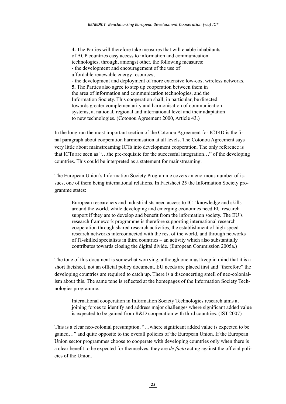**4.** The Parties will therefore take measures that will enable inhabitants of ACP countries easy access to information and communication technologies, through, amongst other, the following measures: - the development and encouragement of the use of affordable renewable energy resources; - the development and deployment of more extensive low-cost wireless networks. **5.** The Parties also agree to step up cooperation between them in the area of information and communication technologies, and the Information Society. This cooperation shall, in particular, be directed towards greater complementarity and harmonisation of communication systems, at national, regional and international level and their adaptation to new technologies. (Cotonou Agreement 2000, Article 43.)

In the long run the most important section of the Cotonou Agreement for ICT4D is the final paragraph about cooperation harmonisation at all levels. The Cotonou Agreement says very little about mainstreaming ICTs into development cooperation. The only reference is that ICTs are seen as "…the pre-requisite for the successful integration…" of the developing countries. This could be interpreted as a statement for mainstreaming.

The European Union's Information Society Programme covers an enormous number of issues, one of them being international relations. In Factsheet 25 the Information Society programme states:

European researchers and industrialists need access to ICT knowledge and skills around the world, while developing and emerging economies need EU research support if they are to develop and benefit from the information society. The EU's research framework programme is therefore supporting international research cooperation through shared research activities, the establishment of high-speed research networks interconnected with the rest of the world, and through networks of IT-skilled specialists in third countries – an activity which also substantially contributes towards closing the digital divide. (European Commission 2005a.)

The tone of this document is somewhat worrying, although one must keep in mind that it is a short factsheet, not an official policy document. EU needs are placed first and "therefore" the developing countries are required to catch up. There is a disconcerting smell of neo-colonialism about this. The same tone is reflected at the homepages of the Information Society Technologies programme:

International cooperation in Information Society Technologies research aims at joining forces to identify and address major challenges where significant added value is expected to be gained from R&D cooperation with third countries. (IST 2007)

This is a clear neo-colonial presumption, "…where significant added value is expected to be gained…" and quite opposite to the overall policies of the European Union. If the European Union sector programmes choose to cooperate with developing countries only when there is a clear benefit to be expected for themselves, they are *de facto* acting against the official policies of the Union.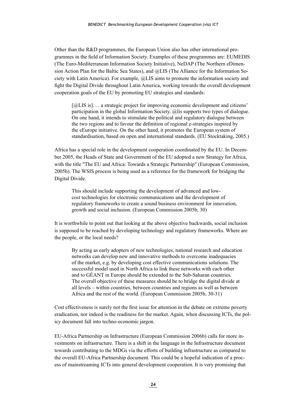Other than the R&D programmes, the European Union also has other international programmes in the field of Information Society. Examples of these programmes are: EUMEDIS (The Euro-Mediterranean Information Society Initiative), NeDAP (The Northern eDimension Action Plan for the Baltic Sea States), and @LIS (The Alliance for the Information Society with Latin America). For example, @LIS aims to promote the information society and fight the Digital Divide throughout Latin America, working towards the overall development cooperation goals of the EU by promoting EU strategies and standards:

[ $@LIS$  is]... a strategic project for improving economic development and citizens' participation in the global Information Society. @lis supports two types of dialogue. On one hand, it intends to stimulate the political and regulatory dialogue between the two regions and to favour the definition of regional e-strategies inspired by the eEurope initiative. On the other hand, it promotes the European system of standardisation, based on open and international standards. (EU Stocktaking, 2005.)

Africa has a special role in the development cooperation coordinated by the EU. In December 2005, the Heads of State and Government of the EU adopted a new Strategy for Africa, with the title "The EU and Africa: Towards a Strategic Partnership" (European Commission, 2005b). The WSIS process is being used as a reference for the framework for bridging the Digital Divide.

This should include supporting the development of advanced and lowcost technologies for electronic communications and the development of regulatory frameworks to create a sound business environment for innovation, growth and social inclusion. (European Commission 2005b, 30)

It is worthwhile to point out that looking at the above objective backwards, social inclusion is supposed to be reached by developing technology and regulatory frameworks. Where are the people, or the local needs?

By acting as early adopters of new technologies, national research and education networks can develop new and innovative methods to overcome inadequacies of the market, e.g. by developing cost effective communications solutions. The successful model used in North Africa to link these networks with each other and to GÉANT in Europe should be extended to the Sub-Saharan countries. The overall objective of these measures should be to bridge the digital divide at all levels – within countries, between countries and regions as well as between Africa and the rest of the world. (European Commission 2005b, 30-31)

Cost effectiveness is surely not the first issue for attention in the debate on extreme poverty eradication, nor indeed is the readiness for the market. Again, when discussing ICTs, the policy document fall into techno-economic jargon.

EU-Africa Partnership on Infrastructure (European Commission 2006b) calls for more investments on infrastructure. There is a shift in the language in the Infrastructure document towards contributing to the MDGs via the efforts of building infrastructure as compared to the overall EU-Africa Partnership document. This could be a hopeful indication of a process of mainstreaming ICTs into general development cooperation. It is very promising that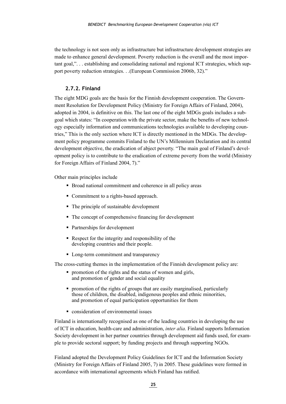<span id="page-25-0"></span>the technology is not seen only as infrastructure but infrastructure development strategies are made to enhance general development. Poverty reduction is the overall and the most important goal,". . . establishing and consolidating national and regional ICT strategies, which support poverty reduction strategies. . .(European Commission 2006b, 32)."

#### **2.7.2. Finland**

The eight MDG goals are the basis for the Finnish development cooperation. The Government Resolution for Development Policy (Ministry for Foreign Affairs of Finland, 2004), adopted in 2004, is definitive on this. The last one of the eight MDGs goals includes a subgoal which states: "In cooperation with the private sector, make the benefits of new technology especially information and communications technologies available to developing countries," This is the only section where ICT is directly mentioned in the MDGs. The development policy programme commits Finland to the UN's Millennium Declaration and its central development objective, the eradication of abject poverty. "The main goal of Finland's development policy is to contribute to the eradication of extreme poverty from the world (Ministry for Foreign Affairs of Finland 2004, 7)."

Other main principles include

- Broad national commitment and coherence in all policy areas
- Commitment to a rights-based approach.
- The principle of sustainable development
- The concept of comprehensive financing for development
- Partnerships for development
- Respect for the integrity and responsibility of the developing countries and their people.
- Long-term commitment and transparency

The cross-cutting themes in the implementation of the Finnish development policy are:

- promotion of the rights and the status of women and girls, and promotion of gender and social equality
- promotion of the rights of groups that are easily marginalised, particularly those of children, the disabled, indigenous peoples and ethnic minorities, and promotion of equal participation opportunities for them
- **Exercise Consideration of environmental issues**

Finland is internationally recognised as one of the leading countries in developing the use of ICT in education, health-care and administration, *inter alia*. Finland supports Information Society development in her partner countries through development aid funds used, for example to provide sectoral support; by funding projects and through supporting NGOs.

Finland adopted the Development Policy Guidelines for ICT and the Information Society (Ministry for Foreign Affairs of Finland 2005, 7) in 2005. These guidelines were formed in accordance with international agreements which Finland has ratified.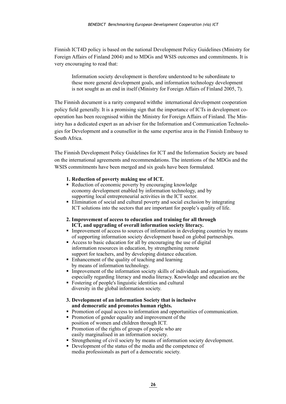Finnish ICT4D policy is based on the national Development Policy Guidelines (Ministry for Foreign Affairs of Finland 2004) and to MDGs and WSIS outcomes and commitments. It is very encouraging to read that:

Information society development is therefore understood to be subordinate to these more general development goals, and information technology development is not sought as an end in itself (Ministry for Foreign Affairs of Finland 2005, 7).

The Finnish document is a rarity compared withthe international development cooperation policy field generally. It is a promising sign that the importance of ICTs in development cooperation has been recognised within the Ministry for Foreign Affairs of Finland. The Ministry has a dedicated expert as an adviser for the Information and Communication Technologies for Development and a counsellor in the same expertise area in the Finnish Embassy to South Africa.

The Finnish Development Policy Guidelines for ICT and the Information Society are based on the international agreements and recommendations. The intentions of the MDGs and the WSIS commitments have been merged and six goals have been formulated.

#### **1. Reduction of poverty making use of ICT.**

- Reduction of economic poverty by encouraging knowledge economy development enabled by information technology, and by supporting local entrepreneurial activities in the ICT sector.
- Elimination of social and cultural poverty and social exclusion by integrating ICT solutions into the sectors that are important for people's quality of life.

#### **2. Improvement of access to education and training for all through ICT, and upgrading of overall information society literacy.**

- Improvement of access to sources of information in developing countries by means of supporting information society development based on global partnerships.
- Access to basic education for all by encouraging the use of digital information resources in education, by strengthening remote support for teachers, and by developing distance education.
- Enhancement of the quality of teaching and learning by means of information technology.
- Improvement of the information society skills of individuals and organisations, especially regarding literacy and media literacy. Knowledge and education are the
- Fostering of people's linguistic identities and cultural diversity in the global information society.

#### **3. Development of an information Society that is inclusive and democratic and promotes human rights.**

- Promotion of equal access to information and opportunities of communication.
- Promotion of gender equality and improvement of the position of women and children through ICT.
- Promotion of the rights of groups of people who are easily marginalised in an information society.
- Strengthening of civil society by means of information society development.
- Development of the status of the media and the competence of media professionals as part of a democratic society.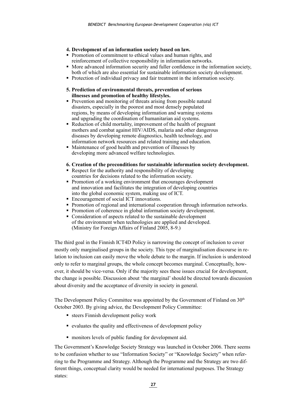#### **4. Development of an information society based on law.**

- **Promotion of commitment to ethical values and human rights, and** reinforcement of collective responsibility in information networks.
- More advanced information security and fuller confidence in the information society, both of which are also essential for sustainable information society development.
- Protection of individual privacy and fair treatment in the information society.
- **5. Prediction of environmental threats, prevention of serious illnesses and promotion of healthy lifestyles.**
- **Prevention and monitoring of threats arising from possible natural** disasters, especially in the poorest and most densely populated regions, by means of developing information and warning systems and upgrading the coordination of humanitarian aid systems.
- Reduction of child mortality, improvement of the health of pregnant mothers and combat against HIV/AIDS, malaria and other dangerous diseases by developing remote diagnostics, health technology, and information network resources and related training and education.
- Maintenance of good health and prevention of illnesses by developing more advanced welfare technologies.

#### **6. Creation of the preconditions for sustainable information society development.**

- Respect for the authority and responsibility of developing countries for decisions related to the information society.
- Promotion of a working environment that encourages development and innovation and facilitates the integration of developing countries into the global economic system, making use of ICT.
- Encouragement of social ICT innovations.
- Promotion of regional and international cooperation through information networks.
- Promotion of coherence in global information society development.
- Consideration of aspects related to the sustainable development of the environment when technologies are applied and developed. (Ministry for Foreign Affairs of Finland 2005, 8-9.)

The third goal in the Finnish ICT4D Policy is narrowing the concept of inclusion to cover mostly only marginalised groups in the society. This type of marginalisation discourse in relation to inclusion can easily move the whole debate to the margin. If inclusion is understood only to refer to marginal groups, the whole concept becomes marginal. Conceptually, however, it should be vice-versa. Only if the majority sees these issues crucial for development, the change is possible. Discussion about 'the marginal' should be directed towards discussion about diversity and the acceptance of diversity in society in general.

The Development Policy Committee was appointed by the Government of Finland on  $30<sup>th</sup>$ October 2003. By giving advice, the Development Policy Committee:

- steers Finnish development policy work
- evaluates the quality and effectiveness of development policy
- monitors levels of public funding for development aid.

The Government's Knowledge Society Strategy was launched in October 2006. There seems to be confusion whether to use "Information Society" or "Knowledge Society" when referring to the Programme and Strategy. Although the Programme and the Strategy are two different things, conceptual clarity would be needed for international purposes. The Strategy states: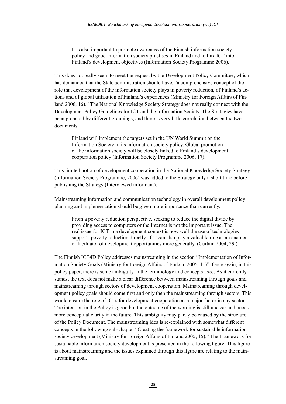It is also important to promote awareness of the Finnish information society policy and good information society practises in Finland and to link ICT into Finland's development objectives (Information Society Programme 2006).

This does not really seem to meet the request by the Development Policy Committee, which has demanded that the State administration should have, "a comprehensive concept of the role that development of the information society plays in poverty reduction, of Finland's actions and of global utilisation of Finland's experiences (Ministry for Foreign Affairs of Finland 2006, 16)." The National Knowledge Society Strategy does not really connect with the Development Policy Guidelines for ICT and the Information Society. The Strategies have been prepared by different groupings, and there is very little correlation between the two documents.

Finland will implement the targets set in the UN World Summit on the Information Society in its information society policy. Global promotion of the information society will be closely linked to Finland's development cooperation policy (Information Society Programme 2006, 17).

This limited notion of development cooperation in the National Knowledge Society Strategy (Information Society Programme, 2006) was added to the Strategy only a short time before publishing the Strategy (Interviewed informant).

Mainstreaming information and communication technology in overall development policy planning and implementation should be given more importance than currently.

From a poverty reduction perspective, seeking to reduce the digital divide by providing access to computers or the Internet is not the important issue. The real issue for ICT in a development context is how well the use of technologies supports poverty reduction directly. ICT can also play a valuable role as an enabler or facilitator of development opportunities more generally. (Curtain 2004, 29.)

The Finnish ICT4D Policy addresses mainstreaming in the section "Implementation of Information Society Goals (Ministry for Foreign Affairs of Finland 2005, 11)". Once again, in this policy paper, there is some ambiguity in the terminology and concepts used. As it currently stands, the text does not make a clear difference between mainstreaming through goals and mainstreaming through sectors of development cooperation. Mainstreaming through development policy goals should come first and only then the mainstreaming through sectors. This would ensure the role of ICTs for development cooperation as a major factor in any sector. The intention in the Policy is good but the outcome of the wording is still unclear and needs more conceptual clarity in the future. This ambiguity may partly be caused by the structure of the Policy Document. The mainstreaming idea is re-explained with somewhat different concepts in the following sub-chapter "Creating the framework for sustainable information society development (Ministry for Foreign Affairs of Finland 2005, 15)." The Framework for sustainable information society development is presented in the following figure. This figure is about mainstreaming and the issues explained through this figure are relating to the mainstreaming goal.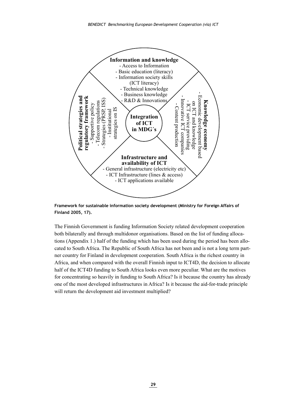

 **Framework for sustainable information society development (Ministry for Foreign Affairs of Finland 2005, 17).**

The Finnish Government is funding Information Society related development cooperation both bilaterally and through multidonor organisations. Based on the list of funding allocations (Appendix 1.) half of the funding which has been used during the period has been allocated to South Africa. The Republic of South Africa has not been and is not a long term partner country for Finland in development cooperation. South Africa is the richest country in Africa, and when compared with the overall Finnish input to ICT4D, the decision to allocate half of the ICT4D funding to South Africa looks even more peculiar. What are the motives for concentrating so heavily in funding to South Africa? Is it because the country has already one of the most developed infrastructures in Africa? Is it because the aid-for-trade principle will return the development aid investment multiplied?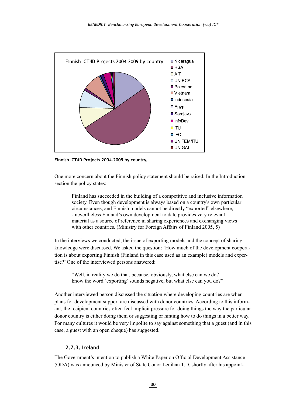<span id="page-30-0"></span>

**Finnish ICT4D Projects 2004-2009 by country.**

One more concern about the Finnish policy statement should be raised. In the Introduction section the policy states:

Finland has succeeded in the building of a competitive and inclusive information society. Even though development is always based on a country's own particular circumstances, and Finnish models cannot be directly "exported" elsewhere, - nevertheless Finland's own development to date provides very relevant material as a source of reference in sharing experiences and exchanging views with other countries. (Ministry for Foreign Affairs of Finland 2005, 5)

In the interviews we conducted, the issue of exporting models and the concept of sharing knowledge were discussed. We asked the question: 'How much of the development cooperation is about exporting Finnish (Finland in this case used as an example) models and expertise?' One of the interviewed persons answered:

"Well, in reality we do that, because, obviously, what else can we do? I know the word 'exporting' sounds negative, but what else can you do?"

Another interviewed person discussed the situation where developing countries are when plans for development support are discussed with donor countries. According to this informant, the recipient countries often feel implicit pressure for doing things the way the particular donor country is either doing them or suggesting or hinting how to do things in a better way. For many cultures it would be very impolite to say against something that a guest (and in this case, a guest with an open cheque) has suggested.

#### **2.7.3. Ireland**

The Government's intention to publish a White Paper on Official Development Assistance (ODA) was announced by Minister of State Conor Lenihan T.D. shortly after his appoint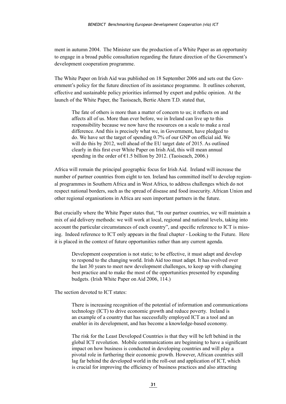ment in autumn 2004. The Minister saw the production of a White Paper as an opportunity to engage in a broad public consultation regarding the future direction of the Government's development cooperation programme.

The White Paper on Irish Aid was published on 18 September 2006 and sets out the Government's policy for the future direction of its assistance programme. It outlines coherent, effective and sustainable policy priorities informed by expert and public opinion. At the launch of the White Paper, the Taoiseach, Bertie Ahern T.D. stated that,

The fate of others is more than a matter of concern to us; it reflects on and affects all of us. More than ever before, we in Ireland can live up to this responsibility because we now have the resources on a scale to make a real difference. And this is precisely what we, in Government, have pledged to do. We have set the target of spending 0.7% of our GNP on official aid. We will do this by 2012, well ahead of the EU target date of 2015. As outlined clearly in this first ever White Paper on Irish Aid, this will mean annual spending in the order of  $\epsilon$ 1.5 billion by 2012. (Taoiseach, 2006.)

Africa will remain the principal geographic focus for Irish Aid. Ireland will increase the number of partner countries from eight to ten. Ireland has committed itself to develop regional programmes in Southern Africa and in West Africa, to address challenges which do not respect national borders, such as the spread of disease and food insecurity. African Union and other regional organisations in Africa are seen important partners in the future.

But crucially where the White Paper states that, "In our partner countries, we will maintain a mix of aid delivery methods: we will work at local, regional and national levels, taking into account the particular circumstances of each country", and specific reference to ICT is missing. Indeed reference to ICT only appears in the final chapter - Looking to the Future. Here it is placed in the context of future opportunities rather than any current agenda.

Development cooperation is not static; to be effective, it must adapt and develop to respond to the changing world. Irish Aid too must adapt. It has evolved over the last 30 years to meet new development challenges, to keep up with changing best practice and to make the most of the opportunities presented by expanding budgets. (Irish White Paper on Aid 2006, 114.)

The section devoted to ICT states:

There is increasing recognition of the potential of information and communications technology (ICT) to drive economic growth and reduce poverty. Ireland is an example of a country that has successfully employed ICT as a tool and an enabler in its development, and has become a knowledge-based economy.

The risk for the Least Developed Countries is that they will be left behind in the global ICT revolution. Mobile communications are beginning to have a significant impact on how business is conducted in developing countries and will play a pivotal role in furthering their economic growth. However, African countries still lag far behind the developed world in the roll-out and application of ICT, which is crucial for improving the efficiency of business practices and also attracting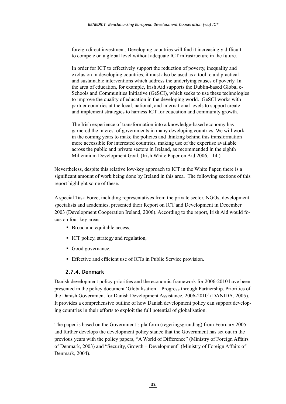<span id="page-32-0"></span>foreign direct investment. Developing countries will find it increasingly difficult to compete on a global level without adequate ICT infrastructure in the future.

In order for ICT to effectively support the reduction of poverty, inequality and exclusion in developing countries, it must also be used as a tool to aid practical and sustainable interventions which address the underlying causes of poverty. In the area of education, for example, Irish Aid supports the Dublin-based Global e-Schools and Communities Initiative (GeSCI), which seeks to use these technologies to improve the quality of education in the developing world. GeSCI works with partner countries at the local, national, and international levels to support create and implement strategies to harness ICT for education and community growth.

The Irish experience of transformation into a knowledge-based economy has garnered the interest of governments in many developing countries. We will work in the coming years to make the policies and thinking behind this transformation more accessible for interested countries, making use of the expertise available across the public and private sectors in Ireland, as recommended in the eighth Millennium Development Goal. (Irish White Paper on Aid 2006, 114.)

Nevertheless, despite this relative low-key approach to ICT in the White Paper, there is a significant amount of work being done by Ireland in this area. The following sections of this report highlight some of these.

A special Task Force, including representatives from the private sector, NGOs, development specialists and academics, presented their Report on ICT and Development in December 2003 (Development Cooperation Ireland, 2006). According to the report, Irish Aid would focus on four key areas:

- Broad and equitable access,
- ICT policy, strategy and regulation,
- Good governance,
- Effective and efficient use of ICTs in Public Service provision.

#### **2.7.4. Denmark**

Danish development policy priorities and the economic framework for 2006-2010 have been presented in the policy document 'Globalisation – Progress through Partnership. Priorities of the Danish Government for Danish Development Assistance. 2006-2010' (DANIDA, 2005). It provides a comprehensive outline of how Danish development policy can support developing countries in their efforts to exploit the full potential of globalisation.

The paper is based on the Government's platform (regeringsgrundlag) from February 2005 and further develops the development policy stance that the Government has set out in the previous years with the policy papers, "A World of Difference" (Ministry of Foreign Affairs of Denmark, 2003) and "Security, Growth – Development" (Ministry of Foreign Affairs of Denmark, 2004).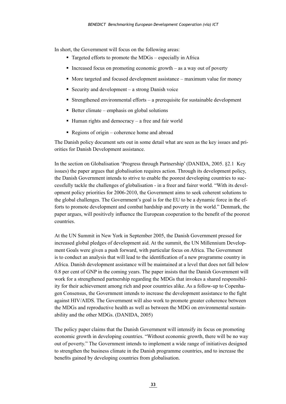In short, the Government will focus on the following areas:

- $\blacksquare$  Targeted efforts to promote the MDGs especially in Africa
- Increased focus on promoting economic growth as a way out of poverty
- More targeted and focused development assistance maximum value for money
- Security and development a strong Danish voice
- Strengthened environmental efforts a prerequisite for sustainable development
- $\blacksquare$  Better climate emphasis on global solutions
- $\blacksquare$  Human rights and democracy a free and fair world
- Regions of origin coherence home and abroad

The Danish policy document sets out in some detail what are seen as the key issues and priorities for Danish Development assistance.

In the section on Globalisation 'Progress through Partnership' (DANIDA, 2005. §2.1 Key issues) the paper argues that globalisation requires action. Through its development policy, the Danish Government intends to strive to enable the poorest developing countries to successfully tackle the challenges of globalisation - in a freer and fairer world. "With its development policy priorities for 2006-2010, the Government aims to seek coherent solutions to the global challenges. The Government's goal is for the EU to be a dynamic force in the efforts to promote development and combat hardship and poverty in the world." Denmark, the paper argues, will positively influence the European cooperation to the benefit of the poorest countries.

At the UN Summit in New York in September 2005, the Danish Government pressed for increased global pledges of development aid. At the summit, the UN Millennium Development Goals were given a push forward, with particular focus on Africa. The Government is to conduct an analysis that will lead to the identification of a new programme country in Africa. Danish development assistance will be maintained at a level that does not fall below 0.8 per cent of GNP in the coming years. The paper insists that the Danish Government will work for a strengthened partnership regarding the MDGs that invokes a shared responsibility for their achievement among rich and poor countries alike. As a follow-up to Copenhagen Consensus, the Government intends to increase the development assistance to the fight against HIV/AIDS. The Government will also work to promote greater coherence between the MDGs and reproductive health as well as between the MDG on environmental sustainability and the other MDGs. (DANIDA, 2005)

The policy paper claims that the Danish Government will intensify its focus on promoting economic growth in developing countries. "Without economic growth, there will be no way out of poverty." The Government intends to implement a wide range of initiatives designed to strengthen the business climate in the Danish programme countries, and to increase the benefits gained by developing countries from globalisation.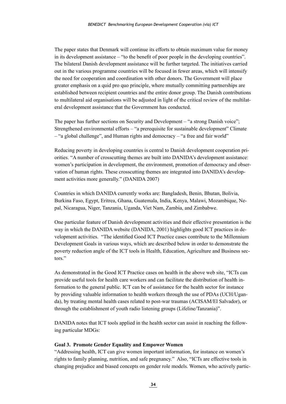The paper states that Denmark will continue its efforts to obtain maximum value for money in its development assistance – "to the benefit of poor people in the developing countries". The bilateral Danish development assistance will be further targeted. The initiatives carried out in the various programme countries will be focused in fewer areas, which will intensify the need for cooperation and coordination with other donors. The Government will place greater emphasis on a quid pro quo principle, where mutually committing partnerships are established between recipient countries and the entire donor group. The Danish contributions to multilateral aid organisations will be adjusted in light of the critical review of the multilateral development assistance that the Government has conducted.

The paper has further sections on Security and Development – "a strong Danish voice"; Strengthened environmental efforts – "a prerequisite for sustainable development" Climate – "a global challenge", and Human rights and democracy – "a free and fair world"

Reducing poverty in developing countries is central to Danish development cooperation priorities. "A number of crosscutting themes are built into DANIDA's development assistance: women's participation in development, the environment, promotion of democracy and observation of human rights. These crosscutting themes are integrated into DANIDA's development activities more generally." (DANIDA 2007)

Countries in which DANIDA currently works are: Bangladesh, Benin, Bhutan, Bolivia, Burkina Faso, Egypt, Eritrea, Ghana, Guatemala, India, Kenya, Malawi, Mozambique, Nepal, Nicaragua, Niger, Tanzania, Uganda, Viet Nam, Zambia, and Zimbabwe.

One particular feature of Danish development activities and their effective presentation is the way in which the DANIDA website (DANIDA, 2001) highlights good ICT practices in development activities. "The identified Good ICT Practice cases contribute to the Millennium Development Goals in various ways, which are described below in order to demonstrate the poverty reduction angle of the ICT tools in Health, Education, Agriculture and Business sectors."

As demonstrated in the Good ICT Practice cases on health in the above web site, "ICTs can provide useful tools for health care workers and can facilitate the distribution of health information to the general public. ICT can be of assistance for the health sector for instance by providing valuable information to health workers through the use of PDAs (UCH/Uganda), by treating mental health cases related to post-war traumas (ACISAM/El Salvador), or through the establishment of youth radio listening groups (Lifeline/Tanzania)".

DANIDA notes that ICT tools applied in the health sector can assist in reaching the following particular MDGs:

#### **Goal 3. Promote Gender Equality and Empower Women**

"Addressing health, ICT can give women important information, for instance on women's rights to family planning, nutrition, and safe pregnancy." Also, "ICTs are effective tools in changing prejudice and biased concepts on gender role models. Women, who actively partic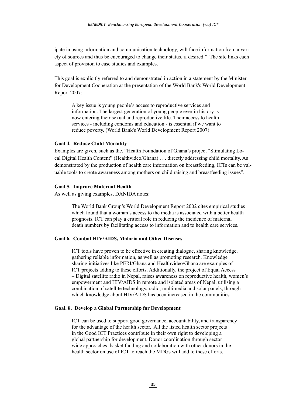ipate in using information and communication technology, will face information from a variety of sources and thus be encouraged to change their status, if desired." The site links each aspect of provision to case studies and examples.

This goal is explicitly referred to and demonstrated in action in a statement by the Minister for Development Cooperation at the presentation of the World Bank's World Development Report 2007:

A key issue is young people's access to reproductive services and information. The largest generation of young people ever in history is now entering their sexual and reproductive life. Their access to health services - including condoms and education - is essential if we want to reduce poverty. (World Bank's World Development Report 2007)

#### **Goal 4. Reduce Child Mortality**

Examples are given, such as the, "Health Foundation of Ghana's project "Stimulating Local Digital Health Content" (Healthvideo/Ghana) . . . directly addressing child mortality. As demonstrated by the production of health care information on breastfeeding, ICTs can be valuable tools to create awareness among mothers on child raising and breastfeeding issues".

#### **Goal 5. Improve Maternal Health**

As well as giving examples, DANIDA notes:

The World Bank Group's World Development Report 2002 cites empirical studies which found that a woman's access to the media is associated with a better health prognosis. ICT can play a critical role in reducing the incidence of maternal death numbers by facilitating access to information and to health care services.

#### **Goal 6. Combat HIV/AIDS, Malaria and Other Diseases**

ICT tools have proven to be effective in creating dialogue, sharing knowledge, gathering reliable information, as well as promoting research. Knowledge sharing initiatives like PERI/Ghana and Healthvideo/Ghana are examples of ICT projects adding to these efforts. Additionally, the project of Equal Access – Digital satellite radio in Nepal, raises awareness on reproductive health, women's empowerment and HIV/AIDS in remote and isolated areas of Nepal, utilising a combination of satellite technology, radio, multimedia and solar panels, through which knowledge about HIV/AIDS has been increased in the communities.

#### **Goal. 8. Develop a Global Partnership for Development**

ICT can be used to support good governance, accountability, and transparency for the advantage of the health sector. All the listed health sector projects in the Good ICT Practices contribute in their own right to developing a global partnership for development. Donor coordination through sector wide approaches, basket funding and collaboration with other donors in the health sector on use of ICT to reach the MDGs will add to these efforts.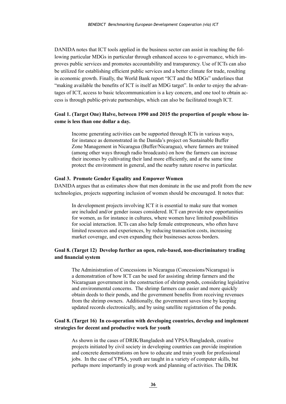DANIDA notes that ICT tools applied in the business sector can assist in reaching the following particular MDGs in particular through enhanced access to e-governance, which improves public services and promotes accountability and transparency. Use of ICTs can also be utilized for establishing efficient public services and a better climate for trade, resulting in economic growth. Finally, the World Bank report "ICT and the MDGs" underlines that "making available the benefits of ICT is itself an MDG target". In order to enjoy the advantages of ICT, access to basic telecommunication is a key concern, and one tool to obtain access is through public-private partnerships, which can also be facilitated trough ICT.

#### **Goal 1. (Target One) Halve, between 1990 and 2015 the proportion of people whose income is less than one dollar a day.**

Income generating activities can be supported through ICTs in various ways, for instance as demonstrated in the Danida's project on Sustainable Buffer Zone Management in Nicaragua (Buffer/Nicaragua), where farmers are trained (among other ways through radio broadcasts) on how the farmers can increase their incomes by cultivating their land more efficiently, and at the same time protect the environment in general, and the nearby nature reserve in particular.

#### **Goal 3. Promote Gender Equality and Empower Women**

DANIDA argues that as estimates show that men dominate in the use and profit from the new technologies, projects supporting inclusion of women should be encouraged. It notes that:

In development projects involving ICT it is essential to make sure that women are included and/or gender issues considered. ICT can provide new opportunities for women, as for instance in cultures, where women have limited possibilities for social interaction. ICTs can also help female entrepreneurs, who often have limited resources and experiences, by reducing transaction costs, increasing market coverage, and even expanding their businesses across borders.

#### **Goal 8. (Target 12) Develop further an open, rule-based, non-discriminatory trading and financial system**

The Administration of Concessions in Nicaragua (Concessions/Nicaragua) is a demonstration of how ICT can be used for assisting shrimp farmers and the Nicaraguan government in the construction of shrimp ponds, considering legislative and environmental concerns. The shrimp farmers can easier and more quickly obtain deeds to their ponds, and the government benefits from receiving revenues from the shrimp owners. Additionally, the government saves time by keeping updated records electronically, and by using satellite registration of the ponds.

#### **Goal 8. (Target 16) In co-operation with developing countries, develop and implement strategies for decent and productive work for youth**

As shown in the cases of DRIK/Bangladesh and YPSA/Bangladesh, creative projects initiated by civil society in developing countries can provide inspiration and concrete demonstrations on how to educate and train youth for professional jobs. In the case of YPSA, youth are taught in a variety of computer skills, but perhaps more importantly in group work and planning of activities. The DRIK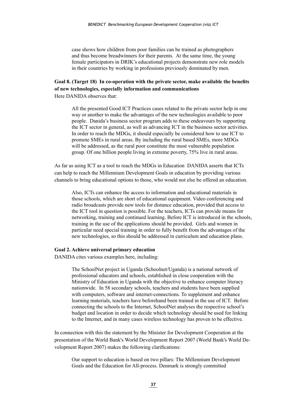case shows how children from poor families can be trained as photographers and thus become breadwinners for their parents. At the same time, the young female participators in DRIK's educational projects demonstrate new role models in their countries by working in professions previously dominated by men.

#### **Goal 8. (Target 18) In co-operation with the private sector, make available the benefits of new technologies, especially information and communications** Here DANIDA observes that:

All the presented Good ICT Practices cases related to the private sector help in one way or another to make the advantages of the new technologies available to poor people. Danida's business sector program adds to these endeavours by supporting the ICT sector in general, as well as advancing ICT in the business sector activities. In order to reach the MDGs, it should especially be considered how to use ICT to promote SMEs in rural areas. By including the rural based SMEs, more MDGs will be addressed, as the rural poor constitute the most vulnerable population group. Of one billion people living in extreme poverty, 75% live in rural areas.

As far as using ICT as a tool to reach the MDGs in Education DANIDA asserts that ICTs can help to reach the Millennium Development Goals in education by providing various channels to bring educational options to those, who would not else be offered an education.

Also, ICTs can enhance the access to information and educational materials in those schools, which are short of educational equipment. Video conferencing and radio broadcasts provide new tools for distance education, provided that access to the ICT tool in question is possible. For the teachers, ICTs can provide means for networking, training and continued learning. Before ICT is introduced in the schools, training in the use of the applications should be provided. Girls and women in particular need special training in order to fully benefit from the advantages of the new technologies, so this should be addressed in curriculum and education plans.

#### **Goal 2. Achieve universal primary education**

DANIDA cites various examples here, including:

The SchoolNet project in Uganda (Schoolnet/Uganda) is a national network of professional educators and schools, established in close cooperation with the Ministry of Education in Uganda with the objective to enhance computer literacy nationwide. In 58 secondary schools, teachers and students have been supplied with computers, software and internet-connections. To supplement and enhance learning materials, teachers have beforehand been trained in the use of ICT. Before connecting the schools to the Internet, SchoolNet analyses the respective school's budget and location in order to decide which technology should be used for linking to the Internet, and in many cases wireless technology has proven to be effective.

In connection with this the statement by the Minister for Development Cooperation at the presentation of the World Bank's World Development Report 2007 (World Bank's World Development Report 2007) makes the following clarifications:

Our support to education is based on two pillars: The Millennium Development Goals and the Education for All-process. Denmark is strongly committed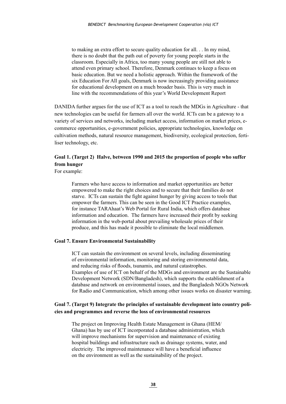to making an extra effort to secure quality education for all. . . In my mind, there is no doubt that the path out of poverty for young people starts in the classroom. Especially in Africa, too many young people are still not able to attend even primary school. Therefore, Denmark continues to keep a focus on basic education. But we need a holistic approach. Within the framework of the six Education For All goals, Denmark is now increasingly providing assistance for educational development on a much broader basis. This is very much in line with the recommendations of this year's World Development Report

DANIDA further argues for the use of ICT as a tool to reach the MDGs in Agriculture - that new technologies can be useful for farmers all over the world. ICTs can be a gateway to a variety of services and networks, including market access, information on market prices, ecommerce opportunities, e-government policies, appropriate technologies, knowledge on cultivation methods, natural resource management, biodiversity, ecological protection, fertiliser technology, etc.

## **Goal 1. (Target 2) Halve, between 1990 and 2015 the proportion of people who suffer from hunger**

For example:

Farmers who have access to information and market opportunities are better empowered to make the right choices and to secure that their families do not starve. ICTs can sustain the fight against hunger by giving access to tools that empower the farmers. This can be seen in the Good ICT Practice examples, for instance TARAhaat's Web Portal for Rural India, which offers database information and education. The farmers have increased their profit by seeking information in the web-portal about prevailing wholesale prices of their produce, and this has made it possible to eliminate the local middlemen.

#### **Goal 7. Ensure Environmental Sustainability**

ICT can sustain the environment on several levels, including disseminating of environmental information, monitoring and storing environmental data, and reducing risks of floods, tsunamis, and natural catastrophes. Examples of use of ICT on behalf of the MDGs and environment are the Sustainable Development Network (SDN/Bangladesh), which supports the establishment of a database and network on environmental issues, and the Bangladesh NGOs Network for Radio and Communication, which among other issues works on disaster warning.

#### **Goal 7. (Target 9) Integrate the principles of sustainable development into country policies and programmes and reverse the loss of environmental resources**

The project on Improving Health Estate Management in Ghana (HEM/ Ghana) has by use of ICT incorporated a database administration, which will improve mechanisms for supervision and maintenance of existing hospital buildings and infrastructure such as drainage systems, water, and electricity. The improved maintenance will have a beneficial influence on the environment as well as the sustainability of the project.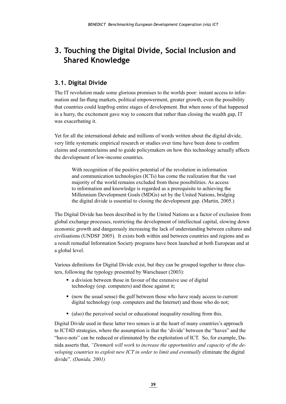## <span id="page-39-0"></span>**3. Touching the Digital Divide, Social Inclusion and Shared Knowledge**

## **3.1. Digital Divide**

The IT revolution made some glorious promises to the worlds poor: instant access to information and far-flung markets, political empowerment, greater growth, even the possibility that countries could leapfrog entire stages of development. But when none of that happened in a hurry, the excitement gave way to concern that rather than closing the wealth gap, IT was exacerbating it.

Yet for all the international debate and millions of words written about the digital divide, very little systematic empirical research or studies over time have been done to confirm claims and counterclaims and to guide policymakers on how this technology actually affects the development of low-income countries.

With recognition of the positive potential of the revolution in information and communication technologies (ICTs) has come the realization that the vast majority of the world remains excluded from these possibilities. As access to information and knowledge is regarded as a prerequisite to achieving the Millennium Development Goals (MDGs) set by the United Nations, bridging the digital divide is essential to closing the development gap. (Martin, 2005.)

The Digital Divide has been described in by the United Nations as a factor of exclusion from global exchange processes, restricting the development of intellectual capital, slowing down economic growth and dangerously increasing the lack of understanding between cultures and civilisations (UNDSF 2005). It exists both within and between countries and regions and as a result remedial Information Society programs have been launched at both European and at a global level.

Various definitions for Digital Divide exist, but they can be grouped together to three clusters, following the typology presented by Warschauer (2003):

- a division between those in favour of the extensive use of digital technology (esp. computers) and those against it;
- (now the usual sense) the gulf between those who have ready access to current digital technology (esp. computers and the Internet) and those who do not;
- (also) the perceived social or educational inequality resulting from this.

Digital Divide used in these latter two senses is at the heart of many countries's approach to ICT4D strategies, where the assumption is that the 'divide' between the "haves" and the "have-nots" can be reduced or eliminated by the exploitation of ICT. So, for example, Danida asserts that, *"Denmark will work to increase the opportunities and capacity of the developing countries to exploit new ICT in order to limit and eventually* eliminate the digital divide". *(Danida, 2001)*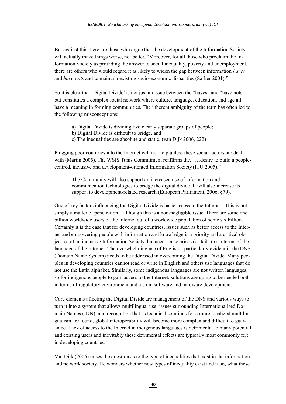But against this there are those who argue that the development of the Information Society will actually make things worse, not better. "Moreover, for all those who proclaim the Information Society as providing the answer to social inequality, poverty and unemployment, there are others who would regard it as likely to widen the gap between information *haves* and *have-nots* and to maintain existing socio-economic disparities (Sarker 2001)."

So it is clear that 'Digital Divide' is not just an issue between the "haves" and "have nots" but constitutes a complex social network where culture, language, education, and age all have a meaning in forming communities. The inherent ambiguity of the term has often led to the following misconceptions:

- a) Digital Divide is dividing two clearly separate groups of people;
- b) Digital Divide is difficult to bridge, and
- c) The inequalities are absolute and static. (van Dijk 2006, 222)

Plugging poor countries into the Internet will not help unless these social factors are dealt with (Martin 2005). The WSIS Tunis Commitment reaffirms the, "... desire to build a peoplecentred, inclusive and development-oriented Information Society (ITU 2005)."

The Community will also support an increased use of information and communication technologies to bridge the digital divide. It will also increase its support to development-related research (European Parliament, 2006, §79).

One of key factors influencing the Digital Divide is basic access to the Internet. This is not simply a matter of penetration – although this is a non-negligible issue. There are some one billion worldwide users of the Internet out of a worldwide population of some six billion. Certainly it is the case that for developing countries, issues such as better access to the Internet and empowering people with information and knowledge is a priority and a critical objective of an inclusive Information Society, but access also arises (or fails to) in terms of the language of the Internet. The overwhelming use of English – particularly evident in the DNS (Domain Name System) needs to be addressed in overcoming the Digital Divide. Many peoples in developing countries cannot read or write in English and others use languages that do not use the Latin alphabet. Similarly, some indigenous languages are not written languages, so for indigenous people to gain access to the Internet, solutions are going to be needed both in terms of regulatory environment and also in software and hardware development.

Core elements affecting the Digital Divide are management of the DNS and various ways to turn it into a system that allows multilingual use; issues surrounding Internationalised Domain Names (IDN), and recognition that as technical solutions for a more localized multilingualism are found, global interoperability will become more complex and difficult to guarantee. Lack of access to the Internet in indigenous languages is detrimental to many potential and existing users and inevitably these detrimental effects are typically most commonly felt in developing countries.

Van Dijk (2006) raises the question as to the type of inequalities that exist in the information and network society. He wonders whether new types of inequality exist and if so, what these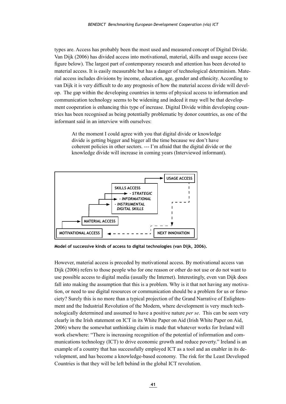types are. Access has probably been the most used and measured concept of Digital Divide. Van Dijk (2006) has divided access into motivational, material, skills and usage access (see figure below). The largest part of contemporary research and attention has been devoted to material access. It is easily measurable but has a danger of technological determinism. Material access includes divisions by income, education, age, gender and ethnicity. According to van Dijk it is very difficult to do any prognosis of how the material access divide will develop. The gap within the developing countries in terms of physical access to information and communication technology seems to be widening and indeed it may well be that development cooperation is enhancing this type of increase. Digital Divide within developing countries has been recognised as being potentially problematic by donor countries, as one of the informant said in an interview with ourselves:

At the moment I could agree with you that digital divide or knowledge divide is getting bigger and bigger all the time because we don't have coherent policies in other sectors. --- I'm afraid that the digital divide or the knowledge divide will increase in coming years (Interviewed informant).



**Model of successive kinds of access to digital technologies (van Dijk, 2006).**

However, material access is preceded by motivational access. By motivational access van Dijk (2006) refers to those people who for one reason or other do not use or do not want to use possible access to digital media (usually the Internet). Interestingly, even van Dijk does fall into making the assumption that this is a problem. Why is it that not having any motivation, or need to use digital resources or communication should be a problem for us or forsociety? Surely this is no more than a typical projection of the Grand Narrative of Enlightenment and the Industrial Revolution of the Modern, where development is very much technologically determined and assumed to have a positive nature *per se*. This can be seen very clearly in the Irish statement on ICT in its White Paper on Aid (Irish White Paper on Aid, 2006) where the somewhat unthinking claim is made that whatever works for Ireland will work elsewhere: "There is increasing recognition of the potential of information and communications technology (ICT) to drive economic growth and reduce poverty." Ireland is an example of a country that has successfully employed ICT as a tool and an enabler in its development, and has become a knowledge-based economy. The risk for the Least Developed Countries is that they will be left behind in the global ICT revolution.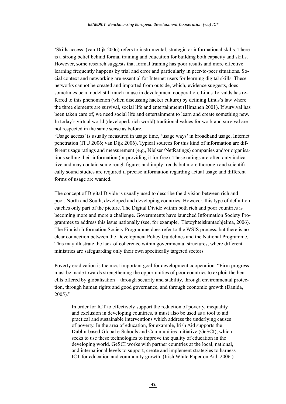'Skills access' (van Dijk 2006) refers to instrumental, strategic or informational skills. There is a strong belief behind formal training and education for building both capacity and skills. However, some research suggests that formal training has poor results and more effective learning frequently happens by trial and error and particularly in peer-to-peer situations. Social context and networking are essential for Internet users for learning digital skills. These networks cannot be created and imported from outside, which, evidence suggests, does sometimes be a model still much in use in development cooperation. Linus Torvalds has referred to this phenomenon (when discussing hacker culture) by defining Linus's law where the three elements are survival, social life and entertainment (Himanen 2001). If survival has been taken care of, we need social life and entertainment to learn and create something new. In today's virtual world (developed, rich world) traditional values for work and survival are not respected in the same sense as before.

'Usage access' is usually measured in usage time, 'usage ways' in broadband usage, Internet penetration (ITU 2006; van Dijk 2006). Typical sources for this kind of information are different usage ratings and measurement (e.g., Nielsen/NetRatings) companies and/or organisations selling their information (or providing it for free). These ratings are often only indicative and may contain some rough figures and imply trends but more thorough and scientifically sound studies are required if precise information regarding actual usage and different forms of usage are wanted.

The concept of Digital Divide is usually used to describe the division between rich and poor, North and South, developed and developing countries. However, this type of definition catches only part of the picture. The Digital Divide within both rich and poor countries is becoming more and more a challenge. Governments have launched Information Society Programmes to address this issue nationally (see, for example, Tietoyhteiskuntaohjelma, 2006). The Finnish Information Society Programme does refer to the WSIS process, but there is no clear connection between the Development Policy Guidelines and the National Programme. This may illustrate the lack of coherence within governmental structures, where different ministries are safeguarding only their own specifically targeted sectors.

Poverty eradication is the most important goal for development cooperation. "Firm progress must be made towards strengthening the opportunities of poor countries to exploit the benefits offered by globalisation – through security and stability, through environmental protection, through human rights and good governance, and through economic growth (Danida,  $2005$ )."

In order for ICT to effectively support the reduction of poverty, inequality and exclusion in developing countries, it must also be used as a tool to aid practical and sustainable interventions which address the underlying causes of poverty. In the area of education, for example, Irish Aid supports the Dublin-based Global e-Schools and Communities Initiative (GeSCI), which seeks to use these technologies to improve the quality of education in the developing world. GeSCI works with partner countries at the local, national, and international levels to support, create and implement strategies to harness ICT for education and community growth. (Irish White Paper on Aid, 2006.)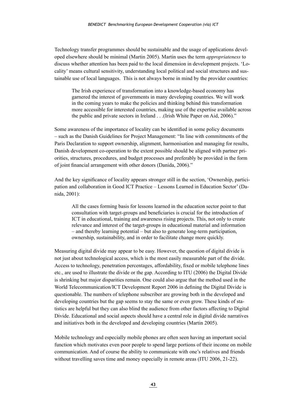Technology transfer programmes should be sustainable and the usage of applications developed elsewhere should be minimal (Martin 2005). Martin uses the term *appropriateness* to discuss whether attention has been paid to the local dimension in development projects. 'Locality' means cultural sensitivity, understanding local political and social structures and sustainable use of local languages. This is not always borne in mind by the provider countries:

The Irish experience of transformation into a knowledge-based economy has garnered the interest of governments in many developing countries. We will work in the coming years to make the policies and thinking behind this transformation more accessible for interested countries, making use of the expertise available across the public and private sectors in Ireland . . .(Irish White Paper on Aid, 2006)."

Some awareness of the importance of locality can be identified in some policy documents – such as the Danish Guidelines for Project Management: "In line with commitments of the Paris Declaration to support ownership, alignment, harmonisation and managing for results, Danish development co-operation to the extent possible should be aligned with partner priorities, structures, procedures, and budget processes and preferably be provided in the form of joint financial arrangement with other donors (Danida, 2006)."

And the key significance of locality appears stronger still in the section, 'Ownership, participation and collaboration in Good ICT Practice – Lessons Learned in Education Sector' (Danida, 2001):

All the cases forming basis for lessons learned in the education sector point to that consultation with target-groups and beneficiaries is crucial for the introduction of ICT in educational, training and awareness rising projects. This, not only to create relevance and interest of the target-groups in educational material and information – and thereby learning potential – but also to generate long-term participation, ownership, sustainability, and in order to facilitate change more quickly.

Measuring digital divide may appear to be easy. However, the question of digital divide is not just about technological access, which is the most easily measurable part of the divide. Access to technology, penetration percentages, affordability, fixed or mobile telephone lines etc., are used to illustrate the divide or the gap. According to ITU (2006) the Digital Divide is shrinking but major disparities remain. One could also argue that the method used in the World Telecommunication/ICT Development Report 2006 in defining the Digital Divide is questionable. The numbers of telephone subscriber are growing both in the developed and developing countries but the gap seems to stay the same or even grow. These kinds of statistics are helpful but they can also blind the audience from other factors affecting to Digital Divide. Educational and social aspects should have a central role in digital divide narratives and initiatives both in the developed and developing countries (Martin 2005).

Mobile technology and especially mobile phones are often seen having an important social function which motivates even poor people to spend large portions of their income on mobile communication. And of course the ability to communicate with one's relatives and friends without travelling saves time and money especially in remote areas (ITU 2006, 21-22).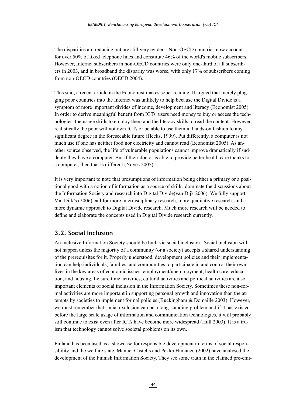<span id="page-44-0"></span>The disparities are reducing but are still very evident. Non-OECD countries now account for over 50% of fixed telephone lines and constitute 46% of the world's mobile subscribers. However, Internet subscribers in non-OECD countries were only one-third of all subscribers in 2003, and in broadband the disparity was worse, with only 17% of subscribers coming from non-OECD countries (OECD 2004).

This said, a recent article in the Economist makes sober reading. It argued that merely plugging poor countries into the Internet was unlikely to help because the Digital Divide is a symptom of more important divides of income, development and literacy (Economist 2005). In order to derive meaningful benefit from ICTs, users need money to buy or access the technologies, the usage skills to employ them and the literacy skills to read the content. However, realistically the poor will not own ICTs or be able to use them in hands-on fashion to any significant degree in the foreseeable future (Heeks, 1999). Put differently, a computer is not much use if one has neither food nor electricity and cannot read (Economist 2005). As another source observed, the life of vulnerable populations cannot improve dramatically if suddenly they have a computer. But if their doctor is able to provide better health care thanks to a computer, then that is different (Noyes 2005).

It is very important to note that presumptions of information being either a primary or a positional good with a notion of information as a source of skills, dominate the discussions about the Information Society and research into Digital Divide(van Dijk 2006). We fully support Van Dijk's (2006) call for more interdisciplinary research, more qualitative research, and a more dynamic approach to Digital Divide research. Much more research will be needed to define and elaborate the concepts used in Digital Divide research currently.

## **3.2. Social Inclusion**

An inclusive Information Society should be built via social inclusion. Social inclusion will not happen unless the majority of a community (or a society) accepts a shared understanding of the prerequisites for it. Properly understood, development policies and their implementation can help individuals, families, and communities to participate in and control their own lives in the key areas of economic issues, employment/unemployment, health care, education, and housing. Leisure time activities, cultural activities and political activities are also important elements of social inclusion in the Information Society. Sometimes these non-formal activities are more important in supporting personal growth and innovation than the attempts by societies to implement formal policies (Buckingham & Domaille 2003). However, we must remember that social exclusion can be a long-standing problem and if it has existed before the large scale usage of information and communication technologies, it will probably still continue to exist even after ICTs have become more widespread (Hull 2003). It is a truism that technology cannot solve societal problems on its own.

Finland has been used as a showcase for responsible development in terms of social responsibility and the welfare state. Manuel Castells and Pekka Himanen (2002) have analysed the development of the Finnish Information Society. They see some truth in the claimed pre-emi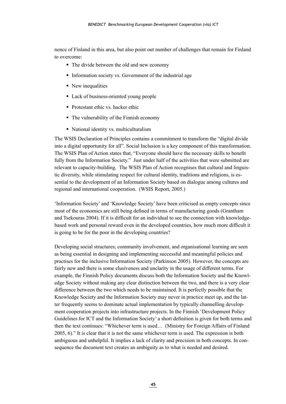nence of Finland in this area, but also point out number of challenges that remain for Finland to overcome:

- The divide between the old and new economy
- Information society vs. Government of the industrial age
- New inequalities
- Lack of business-oriented young people
- Protestant ethic vs. hacker ethic
- The vulnerability of the Finnish economy
- National identity vs. multiculturalism

The WSIS Declaration of Principles contains a commitment to transform the "digital divide into a digital opportunity for all". Social Inclusion is a key component of this transformation. The WSIS Plan of Action states that, "Everyone should have the necessary skills to benefit fully from the Information Society." Just under half of the activities that were submitted are relevant to capacity-building. The WSIS Plan of Action recognises that cultural and linguistic diversity, while stimulating respect for cultural identity, traditions and religions, is essential to the development of an Information Society based on dialogue among cultures and regional and international cooperation. (WSIS Report, 2005.)

'Information Society' and 'Knowledge Society' have been criticised as empty concepts since most of the economics are still being defined in terms of manufacturing goods (Grantham and Tsekouras 2004). If it is difficult for an individual to see the connection with knowledgebased work and personal reward even in the developed countries, how much more difficult it is going to be for the poor in the developing countries?

Developing social structures; community involvement, and organisational learning are seen as being essential in designing and implementing successful and meaningful policies and practises for the inclusive Information Society (Parkinson 2005). However, the concepts are fairly new and there is some elusiveness and unclarity in the usage of different terms. For example, the Finnish Policy documents discuss both the Information Society and the Knowledge Society without making any clear distinction between the two, and there is a very clear difference between the two which needs to be maintained. It is perfectly possible that the Knowledge Society and the Information Society may never in practice meet up, and the latter frequently seems to dominate actual implementation by typically channelling development cooperation projects into infrastructure projects. In the Finnish 'Development Policy Guidelines for ICT and the Information Society' a short definition is given for both terms and then the text continues: "Whichever term is used… (Ministry for Foreign Affairs of Finland 2005, 6)." It is clear that it is not the same whichever term is used. The expression is both ambiguous and unhelpful. It implies a lack of clarity and precision in both concepts. In consequence the document text creates an ambiguity as to what is needed and desired.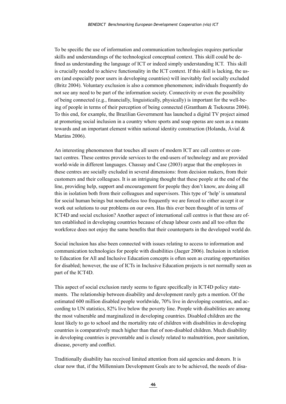To be specific the use of information and communication technologies requires particular skills and understandings of the technological conceptual context. This skill could be defined as understanding the language of ICT or indeed simply understanding ICT. This skill is crucially needed to achieve functionality in the ICT context. If this skill is lacking, the users (and especially poor users in developing countries) will inevitably feel socially excluded (Britz 2004). Voluntary exclusion is also a common phenomenon; individuals frequently do not see any need to be part of the information society. Connectivity or even the possibility of being connected (e.g., financially, linguistically, physically) is important for the well-being of people in terms of their perception of being connected (Grantham & Tsekouras 2004). To this end, for example, the Brazilian Government has launched a digital TV project aimed at promoting social inclusion in a country where sports and soap operas are seen as a means towards and an important element within national identity construction (Holanda, Ávial & Martins 2006).

An interesting phenomenon that touches all users of modern ICT are call centres or contact centres. These centres provide services to the end-users of technology and are provided world-wide in different languages. Chassay and Case (2003) argue that the employees in these centres are socially excluded in several dimensions: from decision makers, from their customers and their colleagues. It is an intriguing thought that these people at the end of the line, providing help, support and encouragement for people they don't know, are doing all this in isolation both from their colleagues and supervisors. This type of 'help' is unnatural for social human beings but nonetheless too frequently we are forced to either accept it or work out solutions to our problems on our own. Has this ever been thought of in terms of ICT4D and social exclusion? Another aspect of international call centres is that these are often established in developing countries because of cheap labour costs and all too often the workforce does not enjoy the same benefits that their counterparts in the developed world do.

Social inclusion has also been connected with issues relating to access to information and communication technologies for people with disabilities (Jaeger 2006). Inclusion in relation to Education for All and Inclusive Education concepts is often seen as creating opportunities for disabled; however, the use of ICTs in Inclusive Education projects is not normally seen as part of the ICT4D.

This aspect of social exclusion rarely seems to figure specifically in ICT4D policy statements. The relationship between disability and development rarely gets a mention. Of the estimated 600 million disabled people worldwide, 70% live in developing countries, and according to UN statistics, 82% live below the poverty line. People with disabilities are among the most vulnerable and marginalized in developing countries. Disabled children are the least likely to go to school and the mortality rate of children with disabilities in developing countries is comparatively much higher than that of non-disabled children. Much disability in developing countries is preventable and is closely related to malnutrition, poor sanitation, disease, poverty and conflict.

Traditionally disability has received limited attention from aid agencies and donors. It is clear now that, if the Millennium Development Goals are to be achieved, the needs of disa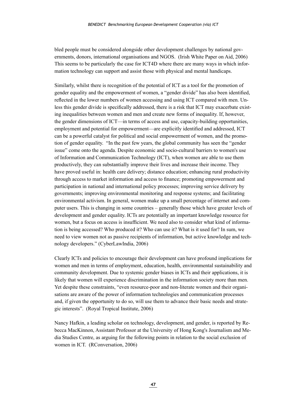bled people must be considered alongside other development challenges by national governments, donors, international organisations and NGOS. (Irish White Paper on Aid, 2006) This seems to be particularly the case for ICT4D where there are many ways in which information technology can support and assist those with physical and mental handicaps.

Similarly, whilst there is recognition of the potential of ICT as a tool for the promotion of gender equality and the empowerment of women, a "gender divide" has also been identified, reflected in the lower numbers of women accessing and using ICT compared with men. Unless this gender divide is specifically addressed, there is a risk that ICT may exacerbate existing inequalities between women and men and create new forms of inequality. If, however, the gender dimensions of ICT—in terms of access and use, capacity-building opportunities, employment and potential for empowerment—are explicitly identified and addressed, ICT can be a powerful catalyst for political and social empowerment of women, and the promotion of gender equality. "In the past few years, the global community has seen the "gender issue" come onto the agenda. Despite economic and socio-cultural barriers to women's use of Information and Communication Technology (ICT), when women are able to use them productively, they can substantially improve their lives and increase their income. They have proved useful in: health care delivery; distance education; enhancing rural productivity through access to market information and access to finance; promoting empowerment and participation in national and international policy processes; improving service delivery by governments; improving environmental monitoring and response systems; and facilitating environmental activism. In general, women make up a small percentage of internet and computer users. This is changing in some countries – generally those which have greater levels of development and gender equality. ICTs are potentially an important knowledge resource for women, but a focus on access is insufficient. We need also to consider what kind of information is being accessed? Who produced it? Who can use it? What is it used for? In sum, we need to view women not as passive recipients of information, but active knowledge and technology developers." (CyberLawIndia, 2006)

Clearly ICTs and policies to encourage their development can have profound implications for women and men in terms of employment, education, health, environmental sustainability and community development. Due to systemic gender biases in ICTs and their applications, it is likely that women will experience discrimination in the information society more than men. Yet despite these constraints, "even resource-poor and non-literate women and their organisations are aware of the power of information technologies and communication processes and, if given the opportunity to do so, will use them to advance their basic needs and strategic interests". (Royal Tropical Institute, 2006)

Nancy Hafkin, a leading scholar on technology, development, and gender, is reported by Rebecca MacKinnon, Assistant Professor at the University of Hong Kong's Journalism and Media Studies Centre, as arguing for the following points in relation to the social exclusion of women in ICT. (RConversation, 2006)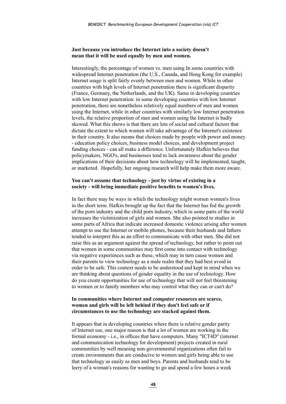#### **Just because you introduce the Internet into a society doesn't mean that it will be used equally by men and women.**

Interestingly, the percentage of women vs. men using In some countries with widespread Internet penetration (the U.S., Canada, and Hong Kong for example) Internet usage is split fairly evenly between men and women. While in other countries with high levels of Internet penetration there is significant disparity (France, Germany, the Netherlands, and the UK). Same in developing countries with low Internet penetration: in some developing countries with low Internet penetration, there are nonetheless relatively equal numbers of men and women using the Internet, while in other countries with similarly low Internet penetration levels, the relative proportion of men and women using the Internet is badly skewed. What this shows is that there are lots of social and cultural factors that dictate the extent to which women will take advantage of the Internet's existence in their country. It also means that choices made by people with power and money - education policy choices, business model choices, and development project funding choices - can all make a difference. Unfortunately Hafkin believes that policymakers, NGO's, and businesses tend to lack awareness about the gender implications of their decisions about how technology will be implemented, taught, or marketed. Hopefully, her ongoing research will help make them more aware.

#### **You can't assume that technology - just by virtue of existing in a society - will bring immediate positive benefits to women's lives.**

In fact there may be ways in which the technology might worsen women's lives in the short term. Hafkin brought up the fact that the Internet has fed the growth of the porn industry and the child porn industry, which in some parts of the world increases the victimization of girls and women. She also pointed to studies in some parts of Africa that indicate increased domestic violence arising after women attempt to use the Internet or mobile phones, because their husbands and fathers tended to interpret this as an effort to communicate with other men. She did not raise this as an argument against the spread of technology, but rather to point out that women in some communities may first come into contact with technology via negative experiences such as these, which may in turn cause women and their parents to view technology as a male realm that they had best avoid in order to be safe. This context needs to be understood and kept in mind when we are thinking about questions of gender equality in the use of technology. How do you create opportunities for use of technology that will not feel threatening to women or to family members who may control what they can or can't do?

#### **In communities where Internet and computer resources are scarce, women and girls will be left behind if they don't feel safe or if circumstances to use the technology are stacked against them.**

It appears that in developing countries where there is relative gender parity of Internet use, one major reason is that a lot of women are working in the formal economy - i.e., in offices that have computers. Many "ICT4D" (internet and communication technology for development) projects created in rural communities by well meaning non-governmental organizations often fail to create environments that are conducive to women and girls being able to use that technology as easily as men and boys. Parents and husbands tend to be leery of a woman's reasons for wanting to go and spend a few hours a week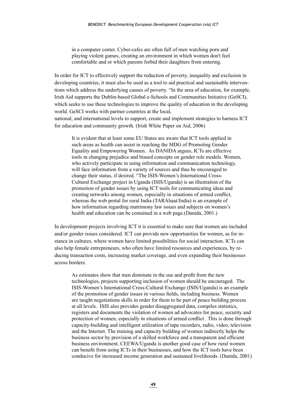in a computer center. Cyber-cafes are often full of men watching porn and playing violent games, creating an environment in which women don't feel comfortable and or which parents forbid their daughters from entering.

In order for ICT to effectively support the reduction of poverty, inequality and exclusion in developing countries, it must also be used as a tool to aid practical and sustainable interventions which address the underlying causes of poverty. "In the area of education, for example, Irish Aid supports the Dublin-based Global e-Schools and Communities Initiative (GeSCI), which seeks to use these technologies to improve the quality of education in the developing world. GeSCI works with partner countries at the local, national, and international levels to support, create and implement strategies to harness ICT for education and community growth. (Irish White Paper on Aid, 2006)

It is evident that at least some EU States are aware that ICT tools applied in such areas as health can assist in reaching the MDG of Promoting Gender Equality and Empowering Women. As DANIDA argues, ICTs are effective tools in changing prejudice and biased concepts on gender role models. Women, who actively participate in using information and communication technology, will face information from a variety of sources and thus be encouraged to change their status, if desired. "The ISIS-Women's International Cross-Cultural Exchange project in Uganda (ISIS/Uganda) is an illustration of the promotion of gender issues by using ICT tools for communicating ideas and creating networks among women, especially in situations of armed conflict, whereas the web portal for rural India (TARAhaat/India) is an example of how information regarding matrimony law issues and subjects on women's health and education can be contained in a web page.(Danida, 2001.)

In development projects involving ICT it is essential to make sure that women are included and/or gender issues considered. ICT can provide new opportunities for women, as for instance in cultures, where women have limited possibilities for social interaction. ICTs can also help female entrepreneurs, who often have limited resources and experiences, by reducing transaction costs, increasing market coverage, and even expanding their businesses across borders.

As estimates show that men dominate in the use and profit from the new technologies, projects supporting inclusion of women should be encouraged. The ISIS-Women's International Cross-Cultural Exchange (ISIS/Uganda) is an example of the promotion of gender issues in various fields, including business. Women are taught negotiations skills in order for them to be part of peace building process at all levels. ISIS also provides gender disaggregated data, compiles statistics, registers and documents the violation of women ad advocates for peace, security and protection of women, especially in situations of armed conflict. This is done through capacity-building and intelligent utilization of tape recorders, radio, video, television and the Internet. The training and capacity building of women indirectly helps the business sector by provision of a skilled workforce and a transparent and efficient business environment. CEEWA/Uganda is another good case of how rural women can benefit from using ICTs in their businesses, and how the ICT tools have been conducive for increased income generation and sustained livelihoods. (Danida, 2001)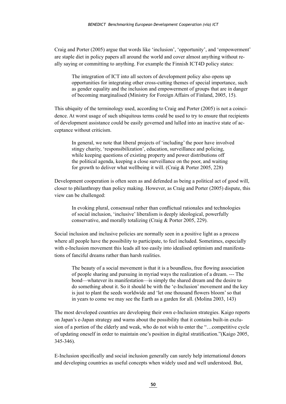Craig and Porter (2005) argue that words like 'inclusion', 'opportunity', and 'empowerment' are staple diet in policy papers all around the world and cover almost anything without really saying or committing to anything. For example the Finnish ICT4D policy states:

The integration of ICT into all sectors of development policy also opens up opportunities for integrating other cross-cutting themes of special importance, such as gender equality and the inclusion and empowerment of groups that are in danger of becoming marginalised (Ministry for Foreign Affairs of Finland, 2005, 15).

This ubiquity of the terminology used, according to Craig and Porter (2005) is not a coincidence. At worst usage of such ubiquitous terms could be used to try to ensure that recipients of development assistance could be easily governed and lulled into an inactive state of acceptance without criticism.

In general, we note that liberal projects of 'including' the poor have involved stingy charity, 'responsibilization', education, surveillance and policing, while keeping questions of existing property and power distributions off the political agenda, keeping a close surveillance on the poor, and waiting for growth to deliver what wellbeing it will. (Craig & Porter 2005, 228)

Development cooperation is often seen as and defended as being a political act of good will, closer to philanthropy than policy making. However, as Craig and Porter (2005) dispute, this view can be challenged:

In evoking plural, consensual rather than conflictual rationales and technologies of social inclusion, 'inclusive' liberalism is deeply ideological, powerfully conservative, and morally totalizing (Craig & Porter 2005, 229).

Social inclusion and inclusive policies are normally seen in a positive light as a process where all people have the possibility to participate, to feel included. Sometimes, especially with e-Inclusion movement this leads all too easily into idealised optimism and manifestations of fanciful dreams rather than harsh realities.

The beauty of a social movement is that it is a boundless, free flowing association of people sharing and pursuing in myriad ways the realization of a dream. --- The bond—whatever its manifestation—is simply the shared dream and the desire to do something about it. So it should be with the 'e-Inclusion' movement and the key is just to plant the seeds worldwide and 'let one thousand flowers bloom' so that in years to come we may see the Earth as a garden for all. (Molina 2003, 143)

The most developed countries are developing their own e-Inclusion strategies. Kaigo reports on Japan's e-Japan strategy and warns about the possibility that it contains built-in exclusion of a portion of the elderly and weak, who do not wish to enter the "…competitive cycle of updating oneself in order to maintain one's position in digital stratification."(Kaigo 2005, 345-346).

E-Inclusion specifically and social inclusion generally can surely help international donors and developing countries as useful concepts when widely used and well understood. But,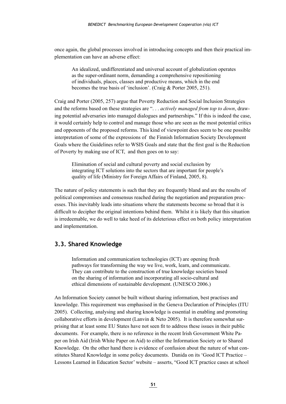<span id="page-51-0"></span>once again, the global processes involved in introducing concepts and then their practical implementation can have an adverse effect:

An idealized, undifferentiated and universal account of globalization operates as the super-ordinant norm, demanding a comprehensive repositioning of individuals, places, classes and productive means, which in the end becomes the true basis of 'inclusion'. (Craig & Porter 2005, 251).

Craig and Porter (2005, 257) argue that Poverty Reduction and Social Inclusion Strategies and the reforms based on these strategies are ". . . *actively managed from top to down*, drawing potential adversaries into managed dialogues and partnerships." If this is indeed the case, it would certainly help to control and manage those who are seen as the most potential critics and opponents of the proposed reforms. This kind of viewpoint does seem to be one possible interpretation of some of the expressions of the Finnish Information Society Development Goals where the Guidelines refer to WSIS Goals and state that the first goal is the Reduction of Poverty by making use of ICT, and then goes on to say:

Elimination of social and cultural poverty and social exclusion by integrating ICT solutions into the sectors that are important for people's quality of life (Ministry for Foreign Affairs of Finland, 2005, 8).

The nature of policy statements is such that they are frequently bland and are the results of political compromises and consensus reached during the negotiation and preparation processes. This inevitably leads into situations where the statements become so broad that it is difficult to decipher the original intentions behind them. Whilst it is likely that this situation is irredeemable, we do well to take heed of its deleterious effect on both policy interpretation and implementation.

#### **3.3. Shared Knowledge**

Information and communication technologies (ICT) are opening fresh pathways for transforming the way we live, work, learn, and communicate. They can contribute to the construction of true knowledge societies based on the sharing of information and incorporating all socio-cultural and ethical dimensions of sustainable development. (UNESCO 2006.)

An Information Society cannot be built without sharing information, best practises and knowledge. This requirement was emphasised in the Geneva Declaration of Principles (ITU 2005). Collecting, analysing and sharing knowledge is essential in enabling and promoting collaborative efforts in development (Lanvin & Neto 2005). It is therefore somewhat surprising that at least some EU States have not seen fit to address these issues in their public documents. For example, there is no reference in the recent Irish Government White Paper on Irish Aid (Irish White Paper on Aid) to either the Information Society or to Shared Knowledge. On the other hand there is evidence of confusion about the nature of what constitutes Shared Knowledge in some policy documents. Danida on its 'Good ICT Practice – Lessons Learned in Education Sector' website – asserts, "Good ICT practice cases at school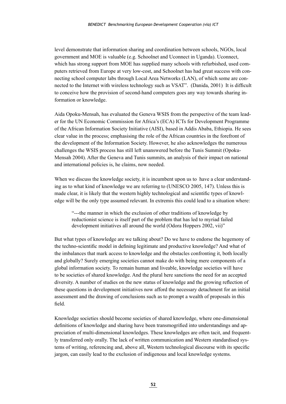level demonstrate that information sharing and coordination between schools, NGOs, local government and MOE is valuable (e.g. Schoolnet and Uconnect in Uganda). Uconnect, which has strong support from MOE has supplied many schools with refurbished, used computers retrieved from Europe at very low-cost, and Schoolnet has had great success with connecting school computer labs through Local Area Networks (LAN), of which some are connected to the Internet with wireless technology such as VSAT". (Danida, 2001) It is difficult to conceive how the provision of second-hand computers goes any way towards sharing information or knowledge.

Aida Opoku-Mensah, has evaluated the Geneva WSIS from the perspective of the team leader for the UN Economic Commission for Africa's (ECA) ICTs for Development Programme of the African Information Society Initiative (AISI), based in Addis Ababa, Ethiopia. He sees clear value in the process; emphasising the role of the African countries in the forefront of the development of the Information Society. However, he also acknowledges the numerous challenges the WSIS process has still left unanswered before the Tunis Summit (Opoku-Mensah 2004). After the Geneva and Tunis summits, an analysis of their impact on national and international policies is, he claims, now needed.

When we discuss the knowledge society, it is incumbent upon us to have a clear understanding as to what kind of knowledge we are referring to (UNESCO 2005, 147). Unless this is made clear, it is likely that the western highly technological and scientific types of knowledge will be the only type assumed relevant. In extremis this could lead to a situation where:

"---the manner in which the exclusion of other traditions of knowledge by reductionist science is itself part of the problem that has led to myriad failed development initiatives all around the world (Odora Hoppers 2002, vii)"

But what types of knowledge are we talking about? Do we have to endorse the hegemony of the techno-scientific model in defining legitimate and productive knowledge? And what of the imbalances that mark access to knowledge and the obstacles confronting it, both locally and globally? Surely emerging societies cannot make do with being mere components of a global information society. To remain human and liveable, knowledge societies will have to be societies of shared knowledge. And the plural here sanctions the need for an accepted diversity. A number of studies on the new status of knowledge and the growing reflection of these questions in development initiatives now afford the necessary detachment for an initial assessment and the drawing of conclusions such as to prompt a wealth of proposals in this field.

Knowledge societies should become societies of shared knowledge, where one-dimensional definitions of knowledge and sharing have been transmogrified into understandings and appreciation of multi-dimensional knowledges. These knowledges are often tacit, and frequently transferred only orally. The lack of written communication and Western standardised systems of writing, referencing and, above all, Western technological discourse with its specific jargon, can easily lead to the exclusion of indigenous and local knowledge systems.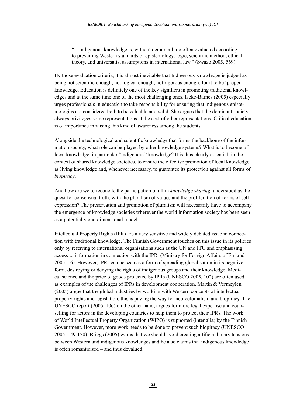"…indigenous knowledge is, without demur, all too often evaluated according to prevailing Western standards of epistemology, logic, scientific method, ethical theory, and universalist assumptions in international law." (Swazo 2005, 569)

By those evaluation criteria, it is almost inevitable that Indigenous Knowledge is judged as being not scientific enough; not logical enough; not rigorous enough, for it to be 'proper' knowledge. Education is definitely one of the key signifiers in promoting traditional knowledges and at the same time one of the most challenging ones. Iseke-Barnes (2005) especially urges professionals in education to take responsibility for ensuring that indigenous epistemologies are considered both to be valuable and valid. She argues that the dominant society always privileges some representations at the cost of other representations. Critical education is of importance in raising this kind of awareness among the students.

Alongside the technological and scientific knowledge that forms the backbone of the information society, what role can be played by other knowledge systems? What is to become of local knowledge, in particular "indigenous" knowledge? It is thus clearly essential, in the context of shared knowledge societies, to ensure the effective promotion of local knowledge as living knowledge and, whenever necessary, to guarantee its protection against all forms of *biopiracy*.

And how are we to reconcile the participation of all in *knowledge sharing*, understood as the quest for consensual truth, with the pluralism of values and the proliferation of forms of selfexpression? The preservation and promotion of pluralism will necessarily have to accompany the emergence of knowledge societies wherever the world information society has been seen as a potentially one-dimensional model.

Intellectual Property Rights (IPR) are a very sensitive and widely debated issue in connection with traditional knowledge. The Finnish Government touches on this issue in its policies only by referring to international organisations such as the UN and ITU and emphasising access to information in connection with the IPR. (Ministry for Foreign Affairs of Finland 2005, 16). However, IPRs can be seen as a form of spreading globalisation in its negative form, destroying or denying the rights of indigenous groups and their knowledge. Medical science and the price of goods protected by IPRs (UNESCO 2005, 102) are often used as examples of the challenges of IPRs in development cooperation. Martin & Vermeylen (2005) argue that the global industries by working with Western concepts of intellectual property rights and legislation, this is paving the way for neo-colonialism and biopiracy. The UNESCO report (2005, 106) on the other hand, argues for more legal expertise and counselling for actors in the developing countries to help them to protect their IPRs. The work of World Intellectual Property Organization (WIPO) is supported (inter alia) by the Finnish Government. However, more work needs to be done to prevent such biopiracy (UNESCO 2005, 149-150). Briggs (2005) warns that we should avoid creating artificial binary tensions between Western and indigenous knowledges and he also claims that indigenous knowledge is often romanticised – and thus devalued.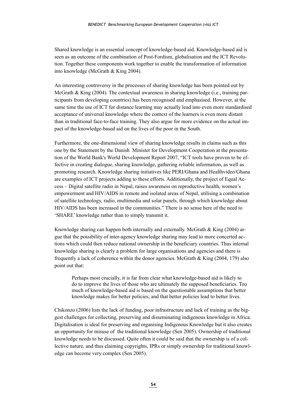Shared knowledge is an essential concept of knowledge-based aid. Knowledge-based aid is seen as an outcome of the combination of Post-Fordism, globalisation and the ICT Revolution. Together these components work together to enable the transformation of information into knowledge (McGrath & King 2004).

An interesting controversy in the processes of sharing knowledge has been pointed out by McGrath & King (2004). The contextual awareness in sharing knowledge (i.e., training participants from developing countries) has been recognised and emphasised. However, at the same time the use of ICT for distance learning may actually lead into even more standardised acceptance of universal knowledge where the context of the learners is even more distant than in traditional face-to-face training. They also argue for more evidence on the actual impact of the knowledge-based aid on the lives of the poor in the South.

Furthermore, the one-dimensional view of sharing knowledge results in claims such as this one by the Statement by the Danish Minister for Development Cooperation at the presentation of the World Bank's World Development Report 2007, "ICT tools have proven to be effective in creating dialogue, sharing knowledge, gathering reliable information, as well as promoting research. Knowledge sharing initiatives like PERI/Ghana and Healthvideo/Ghana are examples of ICT projects adding to these efforts. Additionally, the project of Equal Access – Digital satellite radio in Nepal, raises awareness on reproductive health, women's empowerment and HIV/AIDS in remote and isolated areas of Nepal, utilising a combination of satellite technology, radio, multimedia and solar panels, through which knowledge about HIV/AIDS has been increased in the communities." There is no sense here of the need to 'SHARE' knowledge rather than to simply transmit it.

Knowledge sharing can happen both internally and externally. McGrath  $\&$  King (2004) argue that the possibility of inter-agency knowledge sharing may lead to more concerted actions which could then reduce national ownership in the beneficiary countries. Thus internal knowledge sharing is clearly a problem for large organisations and agencies and there is frequently a lack of coherence within the donor agencies. McGrath  $\&$  King (2004, 179) also point out that:

Perhaps most crucially, it is far from clear what knowledge-based aid is likely to do to improve the lives of those who are ultimately the supposed beneficiaries. Too much of knowledge-based aid is based on the questionable assumptions that better knowledge makes for better policies; and that better policies lead to better lives.

Chikonzo (2006) lists the lack of funding, poor infrastructure and lack of training as the biggest challenges for collecting, preserving and disseminating indigenous knowledge in Africa. Digitalisation is ideal for preserving and organising Indigenous Knowledge but it also creates an opportunity for misuse of the traditional knowledge (Sen 2005). Ownership of traditional knowledge needs to be discussed. Quite often it could be said that the ownership is of a collective nature, and thus claiming copyrights, IPRs or simply ownership for traditional knowledge can become very complex (Sen 2005).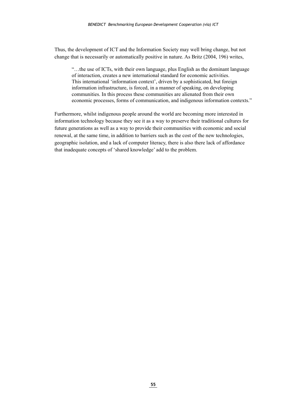Thus, the development of ICT and the Information Society may well bring change, but not change that is necessarily or automatically positive in nature. As Britz (2004, 196) writes,

"…the use of ICTs, with their own language, plus English as the dominant language of interaction, creates a new international standard for economic activities. This international 'information context', driven by a sophisticated, but foreign information infrastructure, is forced, in a manner of speaking, on developing communities. In this process these communities are alienated from their own economic processes, forms of communication, and indigenous information contexts."

Furthermore, whilst indigenous people around the world are becoming more interested in information technology because they see it as a way to preserve their traditional cultures for future generations as well as a way to provide their communities with economic and social renewal, at the same time, in addition to barriers such as the cost of the new technologies, geographic isolation, and a lack of computer literacy, there is also there lack of affordance that inadequate concepts of 'shared knowledge' add to the problem.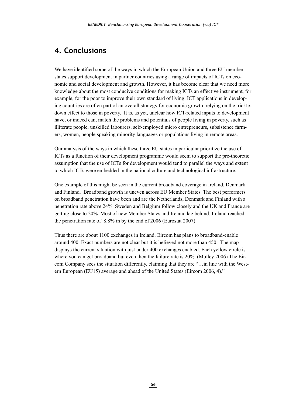## <span id="page-56-0"></span>**4. Conclusions**

We have identified some of the ways in which the European Union and three EU member states support development in partner countries using a range of impacts of ICTs on economic and social development and growth. However, it has become clear that we need more knowledge about the most conducive conditions for making ICTs an effective instrument, for example, for the poor to improve their own standard of living. ICT applications in developing countries are often part of an overall strategy for economic growth, relying on the trickledown effect to those in poverty. It is, as yet, unclear how ICT-related inputs to development have, or indeed can, match the problems and potentials of people living in poverty, such as illiterate people, unskilled labourers, self-employed micro entrepreneurs, subsistence farmers, women, people speaking minority languages or populations living in remote areas.

Our analysis of the ways in which these three EU states in particular prioritize the use of ICTs as a function of their development programme would seem to support the pre-theoretic assumption that the use of ICTs for development would tend to parallel the ways and extent to which ICTs were embedded in the national culture and technological infrastructure.

One example of this might be seen in the current broadband coverage in Ireland, Denmark and Finland. Broadband growth is uneven across EU Member States. The best performers on broadband penetration have been and are the Netherlands, Denmark and Finland with a penetration rate above 24%. Sweden and Belgium follow closely and the UK and France are getting close to 20%. Most of new Member States and Ireland lag behind. Ireland reached the penetration rate of 8.8% in by the end of 2006 (Eurostat 2007).

Thus there are about 1100 exchanges in Ireland. Eircom has plans to broadband-enable around 400. Exact numbers are not clear but it is believed not more than 450. The map displays the current situation with just under 400 exchanges enabled. Each yellow circle is where you can get broadband but even then the failure rate is 20%. (Mulley 2006) The Eircom Company sees the situation differently, claiming that they are "…in line with the Western European (EU15) average and ahead of the United States (Eircom 2006, 4)."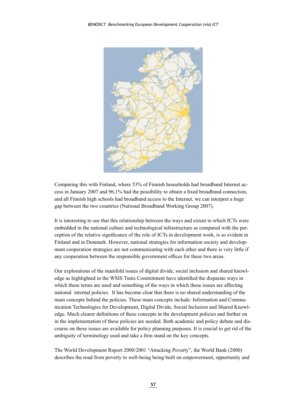

Comparing this with Finland, where 53% of Finnish households had broadband Internet access in January 2007 and 96,1% had the possibility to obtain a fixed broadband connection, and all Finnish high schools had broadband access to the Internet, we can interpret a huge gap between the two countries (National Broadband Working Group 2007).

It is interesting to see that this relationship between the ways and extent to which ICTs were embedded in the national culture and technological infrastructure as compared with the perception of the relative significance of the role of ICTs in development work, is so evident in Finland and in Denmark. However, national strategies for information society and development cooperation strategies are not communicating with each other and there is very little if any cooperation between the responsible government offices for these two areas.

Our explorations of the manifold issues of digital divide, social inclusion and shared knowledge as highlighted in the WSIS Tunis Commitment have identified the disparate ways in which these terms are used and something of the ways in which these issues are affecting national internal policies. It has become clear that there is no shared understanding of the main concepts behind the policies. These main concepts include: Information and Communication Technologies for Development, Digital Divide, Social Inclusion and Shared Knowledge. Much clearer definitions of these concepts in the development policies and further on in the implementation of these policies are needed. Both academic and policy debate and discourse on these issues are available for policy planning purposes. It is crucial to get rid of the ambiguity of terminology used and take a firm stand on the key concepts.

The World Development Report 2000/2001 "Attacking Poverty", the World Bank (2000) describes the road from poverty to well-being being built on empowerment, opportunity and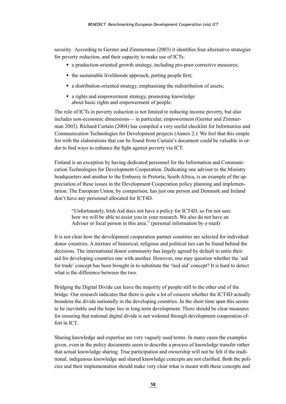security. According to Gerster and Zimmerman (2003) it identifies four alternative strategies for poverty reduction, and their capacity to make use of ICTs:

- a production-oriented growth strategy, including pro-poor corrective measures;
- the sustainable livelihoods approach, putting people first;
- a distribution-oriented strategy, emphasising the redistribution of assets;
- a rights and empowerment strategy, promoting knowledge about basic rights and empowerment of people.

The role of ICTs in poverty reduction is not limited to reducing income poverty, but also includes non-economic dimensions— in particular, empowerment (Gerster and Zimmerman 2003). Richard Curtain (2004) has compiled a very useful checklist for Information and Communication Technologies for Development projects (Annex 2.). We feel that this simple list with the elaborations that can be found from Curtain's document could be valuable in order to find ways to enhance the fight against poverty via ICT.

Finland is an exception by having dedicated personnel for the Information and Communication Technologies for Development Cooperation. Dedicating one advisor to the Ministry headquarters and another to the Embassy in Pretoria, South Africa, is an example of the appreciation of these issues in the Development Cooperation policy planning and implementation. The European Union, by comparison, has just one person and Denmark and Ireland don't have any personnel allocated for ICT4D.

"Unfortunately, Irish Aid does not have a policy for ICT4D, so I'm not sure how we will be able to assist you in your research. We also do not have an Adviser or focal person in this area." (personal information by e-mail)

It is not clear how the development cooperation partner countries are selected for individual donor countries. A mixture of historical, religious and political ties can be found behind the decisions. The international donor community has largely agreed by default to untie their aid for developing countries one with another. However, one may question whether the 'aid for trade' concept has been brought in to substitute the 'tied aid' concept? It is hard to detect what is the difference between the two.

Bridging the Digital Divide can leave the majority of people still to the other end of the bridge. Our research indicates that there is quite a lot of concern whether the ICT4D actually broadens the divide nationally in the developing countries. In the short time span this seems to be inevitable and the hope lies in long term development. There should be clear measures for ensuring that national digital divide is not widened through development cooperation effort in ICT.

Sharing knowledge and expertise are very vaguely used terms. In many cases the examples given, even in the policy documents seem to describe a process of knowledge transfer rather that actual knowledge sharing. True participation and ownership will not be felt if the traditional, indigenous knowledge and shared knowledge concepts are not clarified. Both the policies and their implementation should make very clear what is meant with these concepts and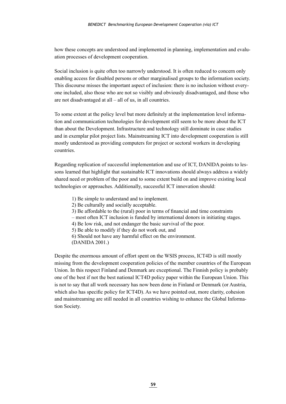how these concepts are understood and implemented in planning, implementation and evaluation processes of development cooperation.

Social inclusion is quite often too narrowly understood. It is often reduced to concern only enabling access for disabled persons or other marginalised groups to the information society. This discourse misses the important aspect of inclusion: there is no inclusion without everyone included, also those who are not so visibly and obviously disadvantaged, and those who are not disadvantaged at all – all of us, in all countries.

To some extent at the policy level but more definitely at the implementation level information and communication technologies for development still seem to be more about the ICT than about the Development. Infrastructure and technology still dominate in case studies and in exemplar pilot project lists. Mainstreaming ICT into development cooperation is still mostly understood as providing computers for project or sectoral workers in developing countries.

Regarding replication of successful implementation and use of ICT, DANIDA points to lessons learned that highlight that sustainable ICT innovations should always address a widely shared need or problem of the poor and to some extent build on and improve existing local technologies or approaches. Additionally, successful ICT innovation should:

- 1) Be simple to understand and to implement.
- 2) Be culturally and socially acceptable.
- 3) Be affordable to the (rural) poor in terms of financial and time constraints
- most often ICT inclusion is funded by international donors in initiating stages.
- 4) Be low risk, and not endanger the basic survival of the poor.
- 5) Be able to modify if they do not work out, and
- 6) Should not have any harmful effect on the environment.
- (DANIDA 2001.)

Despite the enormous amount of effort spent on the WSIS process, ICT4D is still mostly missing from the development cooperation policies of the member countries of the European Union. In this respect Finland and Denmark are exceptional. The Finnish policy is probably one of the best if not the best national ICT4D policy paper within the European Union. This is not to say that all work necessary has now been done in Finland or Denmark (or Austria, which also has specific policy for ICT4D). As we have pointed out, more clarity, cohesion and mainstreaming are still needed in all countries wishing to enhance the Global Information Society.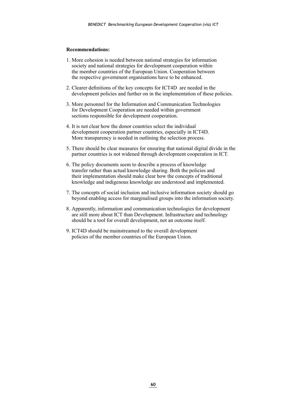#### **Recommendations:**

- 1. More cohesion is needed between national strategies for information society and national strategies for development cooperation within the member countries of the European Union. Cooperation between the respective government organisations have to be enhanced.
- 2. Clearer definitions of the key concepts for ICT4D are needed in the development policies and further on in the implementation of these policies.
- 3. More personnel for the Information and Communication Technologies for Development Cooperation are needed within government sections responsible for development cooperation.
- 4. It is not clear how the donor countries select the individual development cooperation partner countries, especially in ICT4D. More transparency is needed in outlining the selection process.
- 5. There should be clear measures for ensuring that national digital divide in the partner countries is not widened through development cooperation in ICT.
- 6. The policy documents seem to describe a process of knowledge transfer rather than actual knowledge sharing. Both the policies and their implementation should make clear how the concepts of traditional knowledge and indigenous knowledge are understood and implemented.
- 7. The concepts of social inclusion and inclusive information society should go beyond enabling access for marginalised groups into the information society.
- 8. Apparently, information and communication technologies for development are still more about ICT than Development. Infrastructure and technology should be a tool for overall development, not an outcome itself.
- 9. ICT4D should be mainstreamed to the overall development policies of the member countries of the European Union.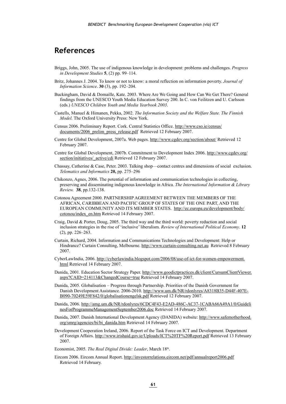## <span id="page-61-0"></span>**References**

- Briggs, John, 2005. The use of indigenous knowledge in development: problems and challenges. *Progress in Development Studies* **5**, (2) pp. 99–114.
- Britz, Johannes J. 2004. To know or not to know: a moral reflection on information poverty. *Journal of Information Science*. **30** (3), pp. 192–204.
- Buckingham, David & Domaille, Kate. 2003. Where Are We Going and How Can We Get There? General findings from the UNESCO Youth Media Education Survey 200. In C. von Feilitzen and U. Carlsson (eds.) *UNESCO Children Youth and Media Yearbook 2003*.
- Castells, Manuel & Himanen, Pekka, 2002. *The Information Society and the Welfare State. The Finnish Model.* The Oxford University Press: New York.
- Census 2006. Preliminary Report. Cork. Central Statistics Office. [http://www.cso.ie/census/](http://www.cso.ie/census/documents/2006_prelim_press_release.pdf) documents/2006 prelim press release.pdf Retrieved 12 February 2007.
- Centre for Global Development, 2007a. Web pages.<http://www.cgdev.org/section/about/> Retrieved 12 February 2007.
- Centre for Global Development, 2007b. Commitment to Development Index 2006. [http://www.cgdev.org/](http://www.cgdev.org/section/initiatives/_active/cdi) section/initiatives/ active/cdi Retrieved 12 February 2007.
- Chassay, Catherine & Case, Peter. 2003. Talking shop––contact centres and dimensions of social exclusion. *Telematics and Informatics* **20,** pp. 275–296
- Chikonzo, Agnes, 2006. The potential of information and communication technologies in collecting, preserving and disseminating indigenous knowledge in Africa. *The International Information & Library Review.* **38**, pp.132-138.
- Cotonou Agreement 2000. PARTNERSHIP AGREEMENT BETWEEN THE MEMBERS OF THE AFRICAN, CARIBBEAN AND PACIFIC GROUP OF STATES OF THE ONE PART, AND THE EUROPEAN COMMUNITY AND ITS MEMBER STATES. [http://ec.europa.eu/development/body/](http://ec.europa.eu/development/body/cotonou/index_en.htm) [cotonou/index\\_en.htm](http://ec.europa.eu/development/body/cotonou/index_en.htm) Retrieved 14 February 2007.
- Craig, David & Porter, Doug, 2005. The third way and the third world: poverty reduction and social inclusion strategies in the rise of 'inclusive' liberalism. *Review of International Political Economy*. **12**  (2), pp. 226–263.
- Curtain, Richard, 2004. Information and Communications Technologies and Development: Help or Hindrance? Curtain Consulting, Melbourne. <http://www.curtain-consulting.net.au> Retrieved 8 February 2007.
- CyberLawIndia, 2006. [http://cyberlawindia.blogspot.com/2006/08/use-of-ict-for-women-empowerment.](http://cyberlawindia.blogspot.com/2006/08/use-of-ict-for-women-empowerment.html) [html](http://cyberlawindia.blogspot.com/2006/08/use-of-ict-for-women-empowerment.html) Retrieved 14 February 2007.
- Danida, 2001. Education Sector Strategy Paper. [http://www.goodictpractices.dk/client/CursumClientViewer.](http://www.goodictpractices.dk/client/CursumClientViewer.aspx?CAID=214113&ChangedCourse=true) [aspx?CAID=214113&ChangedCourse=true](http://www.goodictpractices.dk/client/CursumClientViewer.aspx?CAID=214113&ChangedCourse=true) Retrieved 14 February 2007.
- Danida, 2005. Globalisation Progress through Partnership. Priorities of the Danish Government for Danish Development Assistance. 2006-2010. [http://www.um.dk/NR/rdonlyres/A8318B35-D44F-407E-](http://www.um.dk/NR/rdonlyres/A8318B35-D44F-407E-B090-70249E59F842/0/globalisationengelsk.pdf)[B090-70249E59F842/0/globalisationengelsk.pdf](http://www.um.dk/NR/rdonlyres/A8318B35-D44F-407E-B090-70249E59F842/0/globalisationengelsk.pdf) Retrieved 12 February 2007.
- Danida, 2006. [http://amg.um.dk/NR/rdonlyres/6CDC4F43-E2AD-486C-AC37-1CABA66A49A1/0/Guideli](http://amg.um.dk/NR/rdonlyres/6CDC4F43-E2AD-486C-AC37-1CABA66A49A1/0/GuidelinesForProgrammeManagementSeptember2006.doc) [nesForProgrammeManagementSeptember2006.doc](http://amg.um.dk/NR/rdonlyres/6CDC4F43-E2AD-486C-AC37-1CABA66A49A1/0/GuidelinesForProgrammeManagementSeptember2006.doc) Retrieved 14 February 2007.
- Danida, 2007. Danish International Development Agency (DANIDA) website: [http://www.safemotherhood.](http://www.safemotherhood.org/smrg/agencies/bi/bi_danida.htm) [org/smrg/agencies/bi/bi\\_danida.htm](http://www.safemotherhood.org/smrg/agencies/bi/bi_danida.htm) Retrieved 14 February 2007.
- Development Cooperation Ireland, 2006. Report of the Task Force on ICT and Development. Department of Foreign Affairs. <http://www.irishaid.gov.ie/Uploads/ICT%20TF%20Report.pdf>Retrieved 13 February 2007.

Economist, 2005. *The Real Digital Divide: Leader*, March 18<sup>th</sup>.

Eircom 2006. Eircom Annual Report.<http://investorrelations.eircom.net/pdf/annualreport2006.pdf> Retrieved 14 February.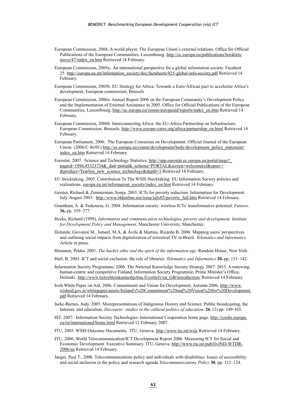- European Commission, 2004..A world player. The European Union's external relations. Office for Official Publications of the European Communities, Luxembourg. [http://ec.europa.eu/publications/booklets/](http://ec.europa.eu/publications/booklets/move/47/index_en.htm) [move/47/index\\_en.htm](http://ec.europa.eu/publications/booklets/move/47/index_en.htm) Retrieved 14 February.
- European Commission, 2005a. An international perspective for a global information society. Facsheet 25. [http://europa.eu.int/information\\_society/doc/factsheets/025-global-info-society.pdf](http://europa.eu.int/information_society/doc/factsheets/025-global-info-society.pdf) Retrieved 14 February.
- European Commission, 2005b. EU Strategy for Africa: Towards a Euro-African pact to accelerate Africa's development. European commission, Brussels
- European Commission, 2006a. Annual Report 2006 on the European Community's Development Policy and the Implementation of External Assistance in 2005. Office for Official Publications of the European Communities, Luxembourg. [http://ec.europa.eu/comm/europeaid/reports/index\\_en.htm](http://ec.europa.eu/comm/europeaid/reports/index_en.htm) Retrieved 14 February.
- European Commission, 2006b. Interconnecting Africa: the EU-Africa Partnership on Infrastructure. European Commission, Brussels. [http://www.europe-cares.org/africa/partnership\\_en.html](http://www.europe-cares.org/africa/partnership_en.html) Retrieved 14 February.
- European Parliament, 2006. The European Consensus on Development. Official Journal of the European Union. (2006/C 46/01) [http://ec.europa.eu/comm/development/body/development\\_policy\\_statement/](http://ec.europa.eu/comm/development/body/development_policy_statement/index_en.htm) [index\\_en.htm](http://ec.europa.eu/comm/development/body/development_policy_statement/index_en.htm) Retrieved 14 February.
- Eurostat, 2007. Science and Technology Statistics. http://epp.eurostat.ec.europa.eu/portal/page? [pageid=1996,45323734&\\_dad=portal&\\_schema=PORTAL&screen=welcomeref&open=/](http://epp.eurostat.ec.europa.eu/portal/page?_pageid=1996,45323734&_dad=portal&_schema=PORTAL&screen=welcomeref&open=/&product=Yearlies_new_science_technology&depth=3) [&product=Yearlies\\_new\\_science\\_technology&depth=3](http://epp.eurostat.ec.europa.eu/portal/page?_pageid=1996,45323734&_dad=portal&_schema=PORTAL&screen=welcomeref&open=/&product=Yearlies_new_science_technology&depth=3) Retrieved 14 February.
- EU Stocktaking, 2005. Contribution To The WSIS Stocktaking: EU Information Society policies and realisations. [europa.eu.int/information\\_society/index\\_en.htm](http://europa.eu.int/information_society/index_en.htm) Retrieved 14 February.
- Gerster, Richard & Zimmerman, Sonja. 2003. ICTs for poverty reduction. Information for Development. July-August 2003. [http://www.i4donline.net/issue/july03/poverty\\_full.htm](http://www.i4donline.net/issue/july03/poverty_full.htm) Retrieved 14 February.
- Grantham, A. & Tsekouras, G. 2004. Information society: wireless ICTs' transformative potential. *Futures*. **36,** pp. 359–377.
- Heeks, Richard (1999), *Information and communication technologies, poverty and development, Institute for Development Policy and Management*, Manchester University, Manchester.
- Holanda, Giovanni M., Ismael, M.A. & Ávila & Martins, Ricardo B. 2006. Mapping users' perspectives and outlining social impacts from digitalization of terrestrial TV in Brazil. *Telematics and Informatics.* Article in press.
- Himanen, Pekka. 2001. *The hacker ethic and the spirit of the information age*. Random House, New York.
- Hull, B. 2003. ICT and social exclusion: the role of libraries. *Telematics and Informatics* **20,** pp. 131–142.
- Information Society Programme, 2006. The National Knowledge Society Strategy 2007–2015. A renewing, human-centric and competitive Finland. Information Society Programme, Prime Minister's Office, Helsinki. [http://www.tietoyhteiskuntaohjelma.fi/esittely/en\\_GB/introduction/](http://www.tietoyhteiskuntaohjelma.fi/esittely/en_GB/introduction/) Retrieved 14 February.
- Irish White Paper on Aid, 2006. Commitment and Vision for Development, Autumn 2006. [http://www.](http://www.irishaid.gov.ie/whitepaper/assets/Ireland) [irishaid.gov.ie/whitepaper/assets/Ireland's%20Commitment%20and%20Vision%20for%20Development.](http://www.irishaid.gov.ie/whitepaper/assets/Ireland) [pdf](http://www.irishaid.gov.ie/whitepaper/assets/Ireland) Retrieved 14 February.
- Iseke-Barnes, Judy, 2005. Misrepresentations of Indigenous History and Science: Public broadcasting, the Internet, and education. *Discourse: studies in the cultural politics of education.* **26**, (2) pp. 149-165.
- IST. 2007. Information Society Technologies. International Cooperation home page. [http://cordis.europa.](http://cordis.europa.eu/ist/international/home.html) [eu/ist/international/home.html](http://cordis.europa.eu/ist/international/home.html) Retrieved 12 February 2007.
- ITU, 2005. WSIS Outcome Documents. ITU, Geneva. <http://www.itu.int/wsis>Retrieved 14 February.
- ITU, 2006. World Telecommunication/ICT Development Report 2006. Measuring ICT for Social and Economic Development. Executive Summary. ITU, Geneva. [http://www.itu.int/pub/D-IND-WTDR-](http://www.itu.int/pub/D-IND-WTDR-2006/en)[2006/en](http://www.itu.int/pub/D-IND-WTDR-2006/en) Retrieved 14 February.
- Jaeger, Paul T., 2006. Telecommunications policy and individuals with disabilities: Issues of accessibility and social inclusion in the policy and research agenda *Telecommunications Policy* **30**, pp. 112–124.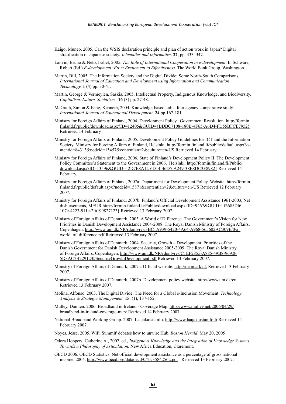- Kaigo, Muneo. 2005. Can the WSIS declaration principle and plan of action work in Japan? Digital stratification of Japanese society. *Telematics and Informatics*. **22**, pp. 333–347.
- Lanvin, Bruno & Neto, Isabel, 2005. *The Role of International Cooperation in e-development*. In Schware, Robert (Ed.) *E-development: From Excitement to Effectiveness.* The World Bank Group, Washington.
- Martin, Bill, 2005. The Information Society and the Digital Divide: Some North-South Comparisons. *International Journal of Education and Development using Information and Communication Technology.* **1** (4) pp. 30-41.
- Martin, George & Vermeylen, Saskia, 2005. Intellectual Property, Indigenous Knowledge, and Biodiversity. *Capitalism, Nature, Socialism.* **16** (3) pp. 27-48.
- McGrath, Simon & King, Kenneth, 2004. Knowledge-based aid: a four agency comparative study. *International Journal of Educational Development*. **24** pp.167-181.
- Ministry for Foreign Affairs of Finland, 2004. Development Policy. Government Resolution. [http://formin.](http://formin.finland.fi/public/download.aspx?ID=12405&GUID={BDBC7108-180B-4F65-A6D4-FD55BFCE7952})  $final, fi/public/download.aps?ID=12405&GUID=\{BDBC7108-180B-4F65-AGD4-FD55BFCE7952\}$ Retrieved 14 February.
- Ministry for Foreign Affairs of Finland, 2005. Development Policy Guidelines for ICT and the Information Society. Ministry for Foreing Affairs of Finland, Helsinki. [http://formin.finland.fi/public/default.aspx?co](http://formin.finland.fi/public/default.aspx?contentid=84313&nodeid=15457&contentlan=2&culture=en-US) [ntentid=84313&nodeid=15457&contentlan=2&culture=en-US](http://formin.finland.fi/public/default.aspx?contentid=84313&nodeid=15457&contentlan=2&culture=en-US) Retrieved 14 February.
- Ministry for Foreign Affairs of Finland, 2006. State of Finland's Development Policy II. The Development Policy Committee's Statement to the Government in 2006. Helsinki. [http://formin.finland.fi/Public/](http://formin.finland.fi/Public/download.aspx?ID=13596&GUID={2D7E8A12-6D14-46D5-A249-38E8DC3F8982}) [download.aspx?ID=13596&GUID={2D7E8A12-6D14-46D5-A249-38E8DC3F8982}](http://formin.finland.fi/Public/download.aspx?ID=13596&GUID={2D7E8A12-6D14-46D5-A249-38E8DC3F8982}) Retrieved 14 February.
- Ministry for Foreign Affairs of Finland, 2007a. Department for Development Policy. Website. [http://formin.](http://formin.finland.fi/public/default.aspx?nodeid=15871&contentlan=2&culture=en-US) [finland.fi/public/default.aspx?nodeid=15871&contentlan=2&culture=en-US](http://formin.finland.fi/public/default.aspx?nodeid=15871&contentlan=2&culture=en-US) Retrieved 12 February 2007.
- Ministry for Foreign Affairs of Finland, 2007b. Finland´s Official Development Assistance 1961-2003, Net disbursements, MEUR [http://formin.finland.fi/Public/download.aspx?ID=9467&GUID={f6685746-](http://formin.finland.fi/Public/download.aspx?ID=9467&GUID={f6685746-107c-4223-911c-2fa199827123}) [107c-4223-911c-2fa199827123}](http://formin.finland.fi/Public/download.aspx?ID=9467&GUID={f6685746-107c-4223-911c-2fa199827123}) Retrieved 13 February 2007
- Ministry of Foreign Affairs of Denmark, 2003. A World of Difference. The Government's Vision for New Priorities in Danish Development Assistance 2004-2008. The Royal Danish Ministry of Foreign Affairs, Copenhagen. [http://www.um.dk/NR/rdonlyres/3BC1A939-5420-4A64-A968-565602AC309E/0/a\\_](http://www.um.dk/NR/rdonlyres/3BC1A939-5420-4A64-A968-565602AC309E/0/a_world_of_difference.pdf) world of difference.pdf Retrieved 13 February 2007.
- Ministry of Foreign Affairs of Denmark, 2004. Security, Growth Development. Priorities of the Danish Government for Danish Development Assistance 2005-2009. The Royal Danish Ministry of Foreign Affairs, Copenhagen. [http://www.um.dk/NR/rdonlyres/C1EF2855-A885-49B8-96A0-](http://www.um.dk/NR/rdonlyres/C1EF2855-A885-49B8-96A0-5D3AC7B22912/0/SecurityGrowthDevelopment.pdf) [5D3AC7B22912/0/SecurityGrowthDevelopment.pdf](http://www.um.dk/NR/rdonlyres/C1EF2855-A885-49B8-96A0-5D3AC7B22912/0/SecurityGrowthDevelopment.pdf) Retrieved 13 February 2007.
- Ministry of Foreign Affairs of Denmark, 2007a. Official website.<http://denmark.dk>Retrieved 13 February 2007.
- Ministry of Foreign Affairs of Denmark, 2007b. Development policy website. <http://www.um.dk/en>. Retrieved 13 February 2007.
- Molina, Alfonso. 2003. The Digital Divide: The Need for a Global e-Inclusion Movement. *Technology Analysis & Strategic Management,* **15**, (1), 137-152.
- Mulley, Damien. 2006. Broadband in Ireland Coverage Map. [http://www.mulley.net/2006/04/29/](http://www.mulley.net/2006/04/29/broadband-in-ireland-coverage-map/) [broadband-in-ireland-coverage-map/](http://www.mulley.net/2006/04/29/broadband-in-ireland-coverage-map/) Retrieved 14 February 2007.
- National Broadband Working Group. 2007. Laajakaistainfo. <http://www.laajakaistainfo.fi> Retrieved 14 February 2007.
- Noyes, Jesse. 2005. WiFi Summit' debates how to unwire Hub. *Boston Herald*. May 20, 2005
- Odora Hoppers, Catherine A., 2002. ed., *Indigenous Knowledge and the Integration of Knowledge Systems. Towards a Philosophy of Articulation.* New Africa Education, Claremont.
- OECD 2006. OECD Statistics. Net official development assistance as a percentage of gross national income, 2004.<http://www.oecd.org/dataoecd/0/41/35842562.pdf>Retrieved 13 February 2007.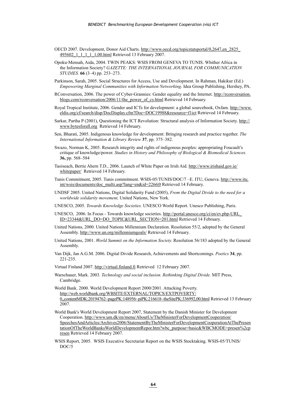- OECD 2007. Development, Donor Aid Charts. [http://www.oecd.org/topicstatsportal/0,2647,en\\_2825\\_](http://www.oecd.org/topicstatsportal/0,2647,en_2825_495602_1_1_1_1_1,00.html) 495602 1 1 1 1 1,00.html Retrieved 13 February 2007.
- Opoku-Mensah, Aida, 2004. TWIN PEAKS: WSIS FROM GENEVA TO TUNIS. Whither Africa in the Information Society? *GAZETTE: THE INTERNATIONAL JOURNAL FOR COMMUNICATION STUDIES.* **66** (3–4) pp. 253–273.
- Parkinson, Sarah, 2005. Social Structures for Access, Use and Development. In Rahman, Hakikur (Ed.) *Empowering Marginal Communities with Information Networking*. Idea Group Publishing, Hershey, PA.
- RConversation, 2006. The power of Cyber-Grannies: Gender equality and the Internet. [http://rconversation.](http://rconversation.blogs.com/rconversation/2006/11/the_power_of_cy.html) [blogs.com/rconversation/2006/11/the\\_power\\_of\\_cy.html](http://rconversation.blogs.com/rconversation/2006/11/the_power_of_cy.html) Retrieved 14 February.
- Royal Tropical Institute, 2006. Gender and ICTs for development: a global sourcebook, Oxfam. [http://www.](http://www.eldis.org/cf/search/disp/DocDisplay.cfm?Doc=DOC19988&resource=f1ict) [eldis.org/cf/search/disp/DocDisplay.cfm?Doc=DOC19988&resource=f1ict](http://www.eldis.org/cf/search/disp/DocDisplay.cfm?Doc=DOC19988&resource=f1ict) Retrieved 14 February.
- Sarkar, Partha P (2001), Questioning the ICT Revolution: Structural analysis of Information Society. [http://](http://www.bytesforall.org) [www.bytesforall.org](http://www.bytesforall.org) Retrieved 14 February.
- Sen, Bharati, 2005. Indigenous knowledge for development: Bringing research and practice together. *The International Information & Library Review* **37**, pp. 375–382.
- Swazo, Norman K, 2005. Research integrity and rights of indigenous peoples: appropriating Foucault's critique of knowledge/power. *Studies in History and Philosophy of Biological & Biomedical Sciences.* **36,** pp. 568–584
- Taoiseach, Bertie Ahern T.D., 2006. Launch of White Paper on Irish Aid. [http://www.irishaid.gov.ie/](http://www.irishaid.gov.ie/whitepaper/) [whitepaper/](http://www.irishaid.gov.ie/whitepaper/) Retrieved 14 February.
- Tunis Commitment, 2005. Tunis commitment. WSIS-05/TUNIS/DOC/7 –E. ITU, Geneva. [http://www.itu.](http://www.itu.int/wsis/documents/doc_multi.asp?lang=en&id=2266|0) [int/wsis/documents/doc\\_multi.asp?lang=en&id=2266|0](http://www.itu.int/wsis/documents/doc_multi.asp?lang=en&id=2266|0) Retrieved 14 February.
- UNDSF 2005. United Nations, Digital Solidarity Fund (2005), *From the Digital Divide to the need for a worldwide solidarity movement,* United Nations, New York.
- UNESCO, 2005. *Towards Knowledge Societies.* UNESCO World Report. Unesco Publishing, Paris.
- UNESCO, 2006. In Focus Towards knowledge societies. [http://portal.unesco.org/ci/en/ev.php-URL\\_](http://portal.unesco.org/ci/en/ev.php-URL_ID=23344&URL_DO=DO_TOPIC&URL_SECTION=201.html) [ID=23344&URL\\_DO=DO\\_TOPIC&URL\\_SECTION=201.html](http://portal.unesco.org/ci/en/ev.php-URL_ID=23344&URL_DO=DO_TOPIC&URL_SECTION=201.html) Retrieved 14 February.
- United Nations, 2000. United Nations Millennium Declaration. Resolution 55/2, adopted by the General Assembly. <http://www.un.org/millenniumgoals/> Retrieved 14 February.
- United Nations, 2001. *World Summit on the Information Society.* Resolution 56/183 adopted by the General Assembly.
- Van Dijk, Jan A.G.M. 2006. Digital Divide Research, Achievements and Shortcomings. *Poetics* **34**, pp. 221-235.
- Virtual Finland 2007.<http://virtual.finland.fi> Retrieved 12 February 2007.
- Warschauer, Mark. 2003. *Technology and social inclusion. Rethinking Digital Divide.* MIT Press, Cambridge.

World Bank. 2000. World Development Report 2000/2001. Attacking Poverty. [http://web.worldbank.org/WBSITE/EXTERNAL/TOPICS/EXTPOVERTY/](http://web.worldbank.org/WBSITE/EXTERNAL/TOPICS/EXTPOVERTY/0,,contentMDK:20194762~pagePK:148956~piPK:216618~theSitePK:336992,00.html) [0,,contentMDK:20194762~pagePK:148956~piPK:216618~theSitePK:336992,00.html](http://web.worldbank.org/WBSITE/EXTERNAL/TOPICS/EXTPOVERTY/0,,contentMDK:20194762~pagePK:148956~piPK:216618~theSitePK:336992,00.html) Retrieved 13 February 2007.

- World Bank's World Development Report 2007, Statement by the Danish Minister for Development Cooperation. [http://www.um.dk/en/menu/AboutUs/TheMinisterForDevelopmentCooperation/](http://www.um.dk/en/menu/AboutUs/TheMinisterForDevelopmentCooperation/SpeechesAndArticles/Archives2006/StatementByTheMinisterForDevelopmentCooperationAtThePresentationOfTheWorldBanksWorldDevelopmentRepor.htm?wbc_purpose=basic&WBCMODE=presen%2cpresen) [SpeechesAndArticles/Archives2006/StatementByTheMinisterForDevelopmentCooperationAtThePresen](http://www.um.dk/en/menu/AboutUs/TheMinisterForDevelopmentCooperation/SpeechesAndArticles/Archives2006/StatementByTheMinisterForDevelopmentCooperationAtThePresentationOfTheWorldBanksWorldDevelopmentRepor.htm?wbc_purpose=basic&WBCMODE=presen%2cpresen) [tationOfTheWorldBanksWorldDevelopmentRepor.htm?wbc\\_purpose=basic&WBCMODE=presen%2cp](http://www.um.dk/en/menu/AboutUs/TheMinisterForDevelopmentCooperation/SpeechesAndArticles/Archives2006/StatementByTheMinisterForDevelopmentCooperationAtThePresentationOfTheWorldBanksWorldDevelopmentRepor.htm?wbc_purpose=basic&WBCMODE=presen%2cpresen) [resen](http://www.um.dk/en/menu/AboutUs/TheMinisterForDevelopmentCooperation/SpeechesAndArticles/Archives2006/StatementByTheMinisterForDevelopmentCooperationAtThePresentationOfTheWorldBanksWorldDevelopmentRepor.htm?wbc_purpose=basic&WBCMODE=presen%2cpresen) Retrieved 14 February 2007.
- WSIS Report, 2005. WSIS Executive Secretariat Report on the WSIS Stocktaking. WSIS-05/TUNIS/ DOC/5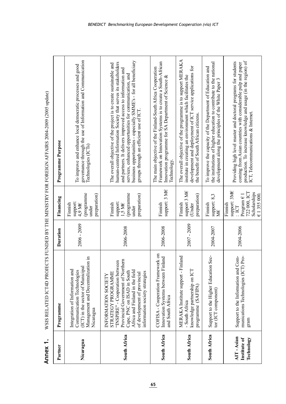| which contributes in the contribution of the contribution of the contribution of the contribution of the contribution of the contribution of the contribution of the contribution of the contribution of the contribution of t |
|--------------------------------------------------------------------------------------------------------------------------------------------------------------------------------------------------------------------------------|
| i<br>F<br>2101                                                                                                                                                                                                                 |
|                                                                                                                                                                                                                                |
|                                                                                                                                                                                                                                |
| enna<br>E                                                                                                                                                                                                                      |

| Annex <sub>1</sub>                      |                                                                                                                                                                                                                                                      |               |                                                                                                            | WSIS RELATED ICT4D PROJECTS FUNDED BY THE MINISTRY FOR FOREIGN AFFAIRS 2004-2009 (2005 update)                                                                                                                                                                                                                                                                                |
|-----------------------------------------|------------------------------------------------------------------------------------------------------------------------------------------------------------------------------------------------------------------------------------------------------|---------------|------------------------------------------------------------------------------------------------------------|-------------------------------------------------------------------------------------------------------------------------------------------------------------------------------------------------------------------------------------------------------------------------------------------------------------------------------------------------------------------------------|
| Partner                                 | Programme                                                                                                                                                                                                                                            | Duration      | Financing                                                                                                  | Programme Purpose                                                                                                                                                                                                                                                                                                                                                             |
| Nicaragua                               | Management and Decentralization in<br>(ICT) in the sector of Municipal<br>Communication Technologies<br>Integration of Information and<br>Nicaragua                                                                                                  | $2006 - 2009$ | (programme<br>preparation)<br>support:<br>4,9 M€<br>Finnish<br>under                                       | governance through the use of Information and Communication<br>To improve and enhance local democratic processes and good<br>Technologies (ICTs)                                                                                                                                                                                                                              |
| South Africa                            | Provincial Government of Northern<br>"INSPIRE" - Cooperation between<br>Africa and Finland in the field<br>Cape, PNC on ISAD in South<br>information society strategies<br>STRATEGY PROGRAMME<br>of development of provincial<br>INFORMATION SOCIETY | 2006-2008     | (programme<br>preparation)<br>support:<br>Finnish<br>1,5 M $\epsilon$<br>under                             | business opportunities - especially SMME's - for all beneficiary<br>human-centred Information Society that serves its stakeholders<br>The overall objective of the project is to create sustainable and<br>and partners. It delivers improved access to information and<br>services, enhanced opportunities for communication, and<br>groups through an efficient use of ICT. |
| South Africa                            | COFISA - Cooperation Framework on<br>Innovation Systems between Finland<br>and South Africa                                                                                                                                                          | 2006-2008     | support: 3 ME<br>Finnish                                                                                   | Framework on Innovation Systems is to create a South-African<br>The main objective of the Finland-South Africa Cooperation<br>Innovation programme for SA Department of Science &<br>Technology.                                                                                                                                                                              |
| South Africa                            | MERAKA Institute support - Finland<br>knowledge partnership on ICT<br>programme (SAFIPA)<br>- South Africa                                                                                                                                           | 2007 - 2009   | support 3 ME<br>preparation)<br>Finnish<br>(Under                                                          | The overall objective of the programme is to support MERAKA<br>development and deployment of ICT service applications for<br>institute in creating an environment which facilitates the<br>the benefit of South African citizens.                                                                                                                                             |
| South Africa                            | Support to the Higher Education Sec-<br>tor (ICT component)                                                                                                                                                                                          | 2004-2007     | support: 8,3<br>Finnish<br>Ж€                                                                              | the institutions of higher education to contribute to the national<br>To improve the capacity of the Department of Education and<br>development along the principles of the White Paper                                                                                                                                                                                       |
| AIT-Asian<br>Technology<br>Institute of | Support to the Information and Com-<br>munications Technologies (ICT) Pro-<br>gram                                                                                                                                                                   | 2004-2006     | support: 3ME<br>722 000, ICT<br>Scholarships<br>$Program \in I$<br>€ 1355000.<br>Finnish<br>$\overline{C}$ | production. To increase knowledge and usage (in the region) of<br>Providing high level master and doctoral programs for students<br>coming from Asian countries with considerable pulp and paper<br>ICT, Telecommunications & Internet.                                                                                                                                       |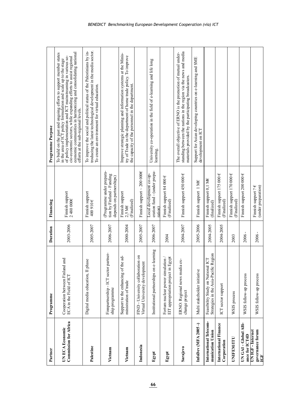| Partner                                                | Programme                                                                  | Duration  | Financing                                                                         | Programme Purpose                                                                                                                                                                                                                                                                                                                                                                  |
|--------------------------------------------------------|----------------------------------------------------------------------------|-----------|-----------------------------------------------------------------------------------|------------------------------------------------------------------------------------------------------------------------------------------------------------------------------------------------------------------------------------------------------------------------------------------------------------------------------------------------------------------------------------|
| <b>Commission for Africa</b><br><b>UN ECA Economic</b> | Cooperation between Finland and<br>ECA in the Field of ICT                 | 2003-2006 | Finnish support<br>2480000€                                                       | cio-economic sectors, while expanding efforts to assist regional<br>economic communities in harmonizing and consolidating national<br>To build on the past and ongoing efforts to support member states<br>in the area of ICT policy formulation and scale up to the stage<br>of policy implementation and ICT mainstreaming in various so-<br>efforts at the sub-regional levels. |
| Palestine                                              | Digital media education, II phase                                          | 2005-2007 | Finnish support<br>$400910 \hat{\epsilon}$                                        | troducing the latest technological development in the media sector.<br>To improve the social and political status of the Palestinians by in-<br>To create an environment for virtual education.                                                                                                                                                                                    |
| Vietnam                                                | Finnpartnership - ICT sector partner-<br>ship programme                    | 2006-2007 | Programme under prepara-<br>tion by Finfund - Funding<br>depends on partnerships) |                                                                                                                                                                                                                                                                                                                                                                                    |
| Vietnam                                                | ಕ್ಕ<br>Support to the enhancing of the<br>ministration of trade            | 2000-2004 | Finnish support<br>(Finalized)<br>2,5 ME                                          | Improve strategic planning and information systems at the Minis-<br>try of Trade in the department of home trade policy. To improve<br>the capacity of the personnel in the department.                                                                                                                                                                                            |
| Indonesia                                              | FIND - University collaboration on<br>Virtual University development       | 2005-2007 | Finnish support ~ 200 000€                                                        |                                                                                                                                                                                                                                                                                                                                                                                    |
| Egypt                                                  | Institutional partnerships on e-learning                                   | 2006-2007 | eration fund - (under prepa-<br>Local development co-op-<br>ration)               | University co-operation in the field of e-learning and life long<br>learning.                                                                                                                                                                                                                                                                                                      |
| Egypt                                                  | EIT appropriation project in Egypt<br>Fortum nuclear power simulation /    | 2004      | Finnish support 84 000 €<br>(Finalized)                                           |                                                                                                                                                                                                                                                                                                                                                                                    |
| Sarajevo                                               | ERNO: Regional news media ex-<br>change project                            | 2004-2007 | Finnish support 450 000 €                                                         | standing between the nations in the region via the news and media<br>The overall objective of ERNO is the promotion of mutual under-<br>materials provided by the participating broadcasters.                                                                                                                                                                                      |
| InfoDev (MFA 2005-)                                    | Multi stakeholder initiative                                               | 2005-2006 | Finnish support 1 ME                                                              | Support for Asian developing countries on e-learning and SME<br>development on ICT                                                                                                                                                                                                                                                                                                 |
| International Telecom-<br>munication Union             | Strategies in the Asia-Pacific Region<br>Feasibility Study on National ICT | 2004-2005 | Finnish support 0,1 ME<br>(finalized)                                             |                                                                                                                                                                                                                                                                                                                                                                                    |
| International Finance<br>Corporation                   | ICT sector support                                                         | 2004-2005 | Finnish support 175 000 €<br>(Finalized)                                          |                                                                                                                                                                                                                                                                                                                                                                                    |
| UNIFEMITU                                              | WSIS process                                                               | 2003      | Finnish support 170 000 €<br>(Finalized)                                          |                                                                                                                                                                                                                                                                                                                                                                                    |
| UN GAI - Global Alli-<br>ance for ICT4D                | WSIS follow-up process                                                     | $2006 -$  | Finnish support 200 000 €                                                         |                                                                                                                                                                                                                                                                                                                                                                                    |
| governance forum<br>UN IGF - Internet<br>EF            | WSIS follow-up process                                                     | 2006 -    | (under preparation)<br>Finnish support? €                                         |                                                                                                                                                                                                                                                                                                                                                                                    |